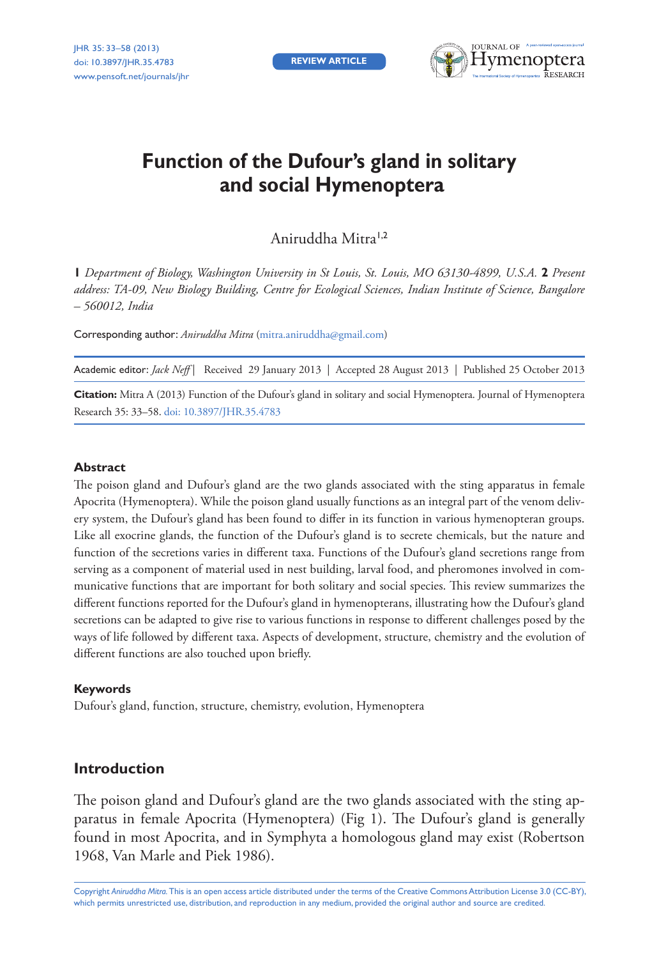**REVIEW ARTICLE**



# **Function of the Dufour's gland in solitary and social Hymenoptera**

Aniruddha Mitra<sup>1,2</sup>

**1** *Department of Biology, Washington University in St Louis, St. Louis, MO 63130-4899, U.S.A.* **2** *Present address: TA-09, New Biology Building, Centre for Ecological Sciences, Indian Institute of Science, Bangalore – 560012, India*

Corresponding author: *Aniruddha Mitra* [\(mitra.aniruddha@gmail.com\)](mailto:mitra.aniruddha@gmail.com)

Academic editor: *Jack Neff* | Received 29 January 2013 | Accepted 28 August 2013 | Published 25 October 2013

**Citation:** Mitra A (2013) Function of the Dufour's gland in solitary and social Hymenoptera. Journal of Hymenoptera Research 35: 33–58. [doi: 10.3897/JHR.35.4783](http://dx.doi.org/10.3897/JHR.35.4783)

# **Abstract**

The poison gland and Dufour's gland are the two glands associated with the sting apparatus in female Apocrita (Hymenoptera). While the poison gland usually functions as an integral part of the venom delivery system, the Dufour's gland has been found to differ in its function in various hymenopteran groups. Like all exocrine glands, the function of the Dufour's gland is to secrete chemicals, but the nature and function of the secretions varies in different taxa. Functions of the Dufour's gland secretions range from serving as a component of material used in nest building, larval food, and pheromones involved in communicative functions that are important for both solitary and social species. This review summarizes the different functions reported for the Dufour's gland in hymenopterans, illustrating how the Dufour's gland secretions can be adapted to give rise to various functions in response to different challenges posed by the ways of life followed by different taxa. Aspects of development, structure, chemistry and the evolution of different functions are also touched upon briefly.

# **Keywords**

Dufour's gland, function, structure, chemistry, evolution, Hymenoptera

# **Introduction**

The poison gland and Dufour's gland are the two glands associated with the sting apparatus in female Apocrita (Hymenoptera) (Fig 1). The Dufour's gland is generally found in most Apocrita, and in Symphyta a homologous gland may exist (Robertson 1968, Van Marle and Piek 1986).

Copyright *Aniruddha Mitra.* This is an open access article distributed under the terms of the [Creative Commons Attribution License 3.0 \(CC-BY\)](http://creativecommons.org/licenses/by/3.0/), which permits unrestricted use, distribution, and reproduction in any medium, provided the original author and source are credited.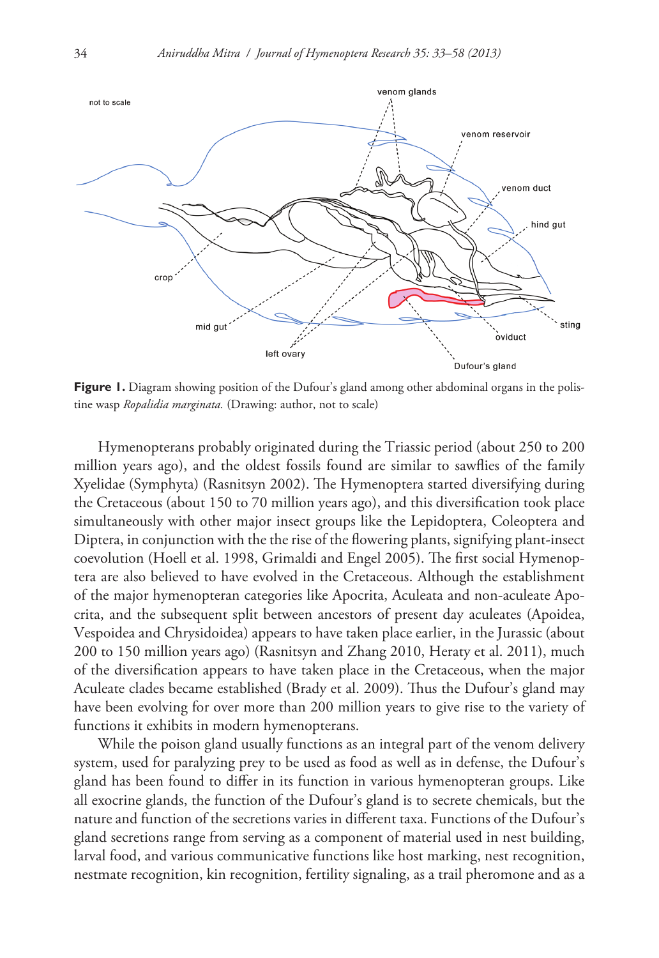

Figure 1. Diagram showing position of the Dufour's gland among other abdominal organs in the polistine wasp *Ropalidia marginata.* (Drawing: author, not to scale)

Hymenopterans probably originated during the Triassic period (about 250 to 200 million years ago), and the oldest fossils found are similar to sawflies of the family Xyelidae (Symphyta) (Rasnitsyn 2002). The Hymenoptera started diversifying during the Cretaceous (about 150 to 70 million years ago), and this diversification took place simultaneously with other major insect groups like the Lepidoptera, Coleoptera and Diptera, in conjunction with the the rise of the flowering plants, signifying plant-insect coevolution (Hoell et al. 1998, Grimaldi and Engel 2005). The first social Hymenoptera are also believed to have evolved in the Cretaceous. Although the establishment of the major hymenopteran categories like Apocrita, Aculeata and non-aculeate Apocrita, and the subsequent split between ancestors of present day aculeates (Apoidea, Vespoidea and Chrysidoidea) appears to have taken place earlier, in the Jurassic (about 200 to 150 million years ago) (Rasnitsyn and Zhang 2010, Heraty et al. 2011), much of the diversification appears to have taken place in the Cretaceous, when the major Aculeate clades became established (Brady et al. 2009). Thus the Dufour's gland may have been evolving for over more than 200 million years to give rise to the variety of functions it exhibits in modern hymenopterans.

While the poison gland usually functions as an integral part of the venom delivery system, used for paralyzing prey to be used as food as well as in defense, the Dufour's gland has been found to differ in its function in various hymenopteran groups. Like all exocrine glands, the function of the Dufour's gland is to secrete chemicals, but the nature and function of the secretions varies in different taxa. Functions of the Dufour's gland secretions range from serving as a component of material used in nest building, larval food, and various communicative functions like host marking, nest recognition, nestmate recognition, kin recognition, fertility signaling, as a trail pheromone and as a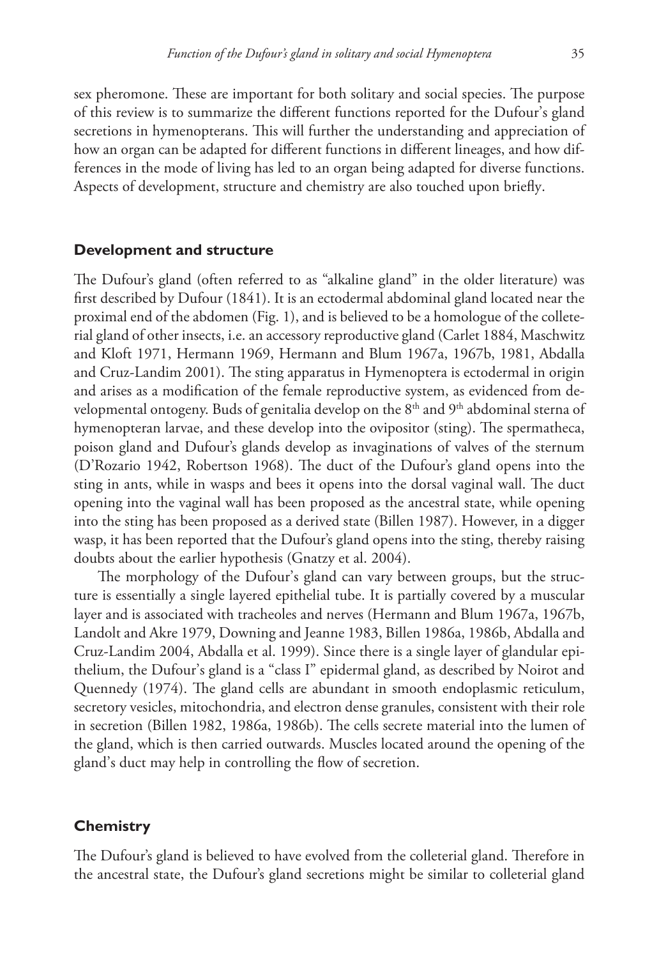sex pheromone. These are important for both solitary and social species. The purpose of this review is to summarize the different functions reported for the Dufour's gland secretions in hymenopterans. This will further the understanding and appreciation of how an organ can be adapted for different functions in different lineages, and how differences in the mode of living has led to an organ being adapted for diverse functions. Aspects of development, structure and chemistry are also touched upon briefly.

# **Development and structure**

The Dufour's gland (often referred to as "alkaline gland" in the older literature) was first described by Dufour (1841). It is an ectodermal abdominal gland located near the proximal end of the abdomen (Fig. 1), and is believed to be a homologue of the colleterial gland of other insects, i.e. an accessory reproductive gland (Carlet 1884, Maschwitz and Kloft 1971, Hermann 1969, Hermann and Blum 1967a, 1967b, 1981, Abdalla and Cruz-Landim 2001). The sting apparatus in Hymenoptera is ectodermal in origin and arises as a modification of the female reproductive system, as evidenced from developmental ontogeny. Buds of genitalia develop on the 8<sup>th</sup> and 9<sup>th</sup> abdominal sterna of hymenopteran larvae, and these develop into the ovipositor (sting). The spermatheca, poison gland and Dufour's glands develop as invaginations of valves of the sternum (D'Rozario 1942, Robertson 1968). The duct of the Dufour's gland opens into the sting in ants, while in wasps and bees it opens into the dorsal vaginal wall. The duct opening into the vaginal wall has been proposed as the ancestral state, while opening into the sting has been proposed as a derived state (Billen 1987). However, in a digger wasp, it has been reported that the Dufour's gland opens into the sting, thereby raising doubts about the earlier hypothesis (Gnatzy et al. 2004).

The morphology of the Dufour's gland can vary between groups, but the structure is essentially a single layered epithelial tube. It is partially covered by a muscular layer and is associated with tracheoles and nerves (Hermann and Blum 1967a, 1967b, Landolt and Akre 1979, Downing and Jeanne 1983, Billen 1986a, 1986b, Abdalla and Cruz-Landim 2004, Abdalla et al. 1999). Since there is a single layer of glandular epithelium, the Dufour's gland is a "class I" epidermal gland, as described by Noirot and Quennedy (1974). The gland cells are abundant in smooth endoplasmic reticulum, secretory vesicles, mitochondria, and electron dense granules, consistent with their role in secretion (Billen 1982, 1986a, 1986b). The cells secrete material into the lumen of the gland, which is then carried outwards. Muscles located around the opening of the gland's duct may help in controlling the flow of secretion.

# **Chemistry**

The Dufour's gland is believed to have evolved from the colleterial gland. Therefore in the ancestral state, the Dufour's gland secretions might be similar to colleterial gland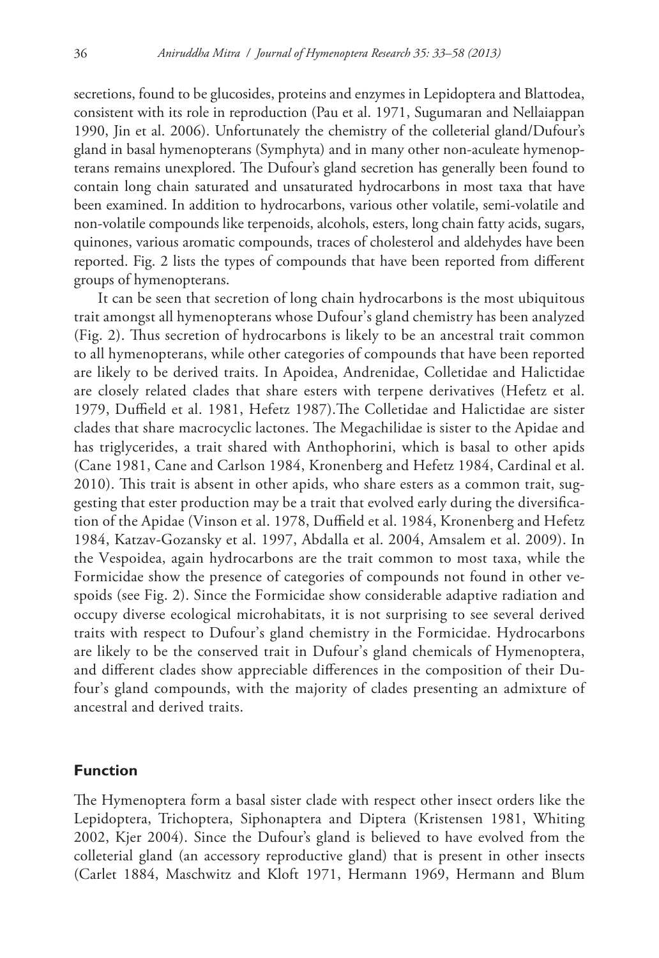secretions, found to be glucosides, proteins and enzymes in Lepidoptera and Blattodea, consistent with its role in reproduction (Pau et al. 1971, Sugumaran and Nellaiappan 1990, Jin et al. 2006). Unfortunately the chemistry of the colleterial gland/Dufour's gland in basal hymenopterans (Symphyta) and in many other non-aculeate hymenopterans remains unexplored. The Dufour's gland secretion has generally been found to contain long chain saturated and unsaturated hydrocarbons in most taxa that have been examined. In addition to hydrocarbons, various other volatile, semi-volatile and non-volatile compounds like terpenoids, alcohols, esters, long chain fatty acids, sugars, quinones, various aromatic compounds, traces of cholesterol and aldehydes have been reported. Fig. 2 lists the types of compounds that have been reported from different groups of hymenopterans.

It can be seen that secretion of long chain hydrocarbons is the most ubiquitous trait amongst all hymenopterans whose Dufour's gland chemistry has been analyzed (Fig. 2). Thus secretion of hydrocarbons is likely to be an ancestral trait common to all hymenopterans, while other categories of compounds that have been reported are likely to be derived traits. In Apoidea, Andrenidae, Colletidae and Halictidae are closely related clades that share esters with terpene derivatives (Hefetz et al. 1979, Duffield et al. 1981, Hefetz 1987).The Colletidae and Halictidae are sister clades that share macrocyclic lactones. The Megachilidae is sister to the Apidae and has triglycerides, a trait shared with Anthophorini, which is basal to other apids (Cane 1981, Cane and Carlson 1984, Kronenberg and Hefetz 1984, Cardinal et al. 2010). This trait is absent in other apids, who share esters as a common trait, suggesting that ester production may be a trait that evolved early during the diversification of the Apidae (Vinson et al. 1978, Duffield et al. 1984, Kronenberg and Hefetz 1984, Katzav-Gozansky et al. 1997, Abdalla et al. 2004, Amsalem et al. 2009). In the Vespoidea, again hydrocarbons are the trait common to most taxa, while the Formicidae show the presence of categories of compounds not found in other vespoids (see Fig. 2). Since the Formicidae show considerable adaptive radiation and occupy diverse ecological microhabitats, it is not surprising to see several derived traits with respect to Dufour's gland chemistry in the Formicidae. Hydrocarbons are likely to be the conserved trait in Dufour's gland chemicals of Hymenoptera, and different clades show appreciable differences in the composition of their Dufour's gland compounds, with the majority of clades presenting an admixture of ancestral and derived traits.

# **Function**

The Hymenoptera form a basal sister clade with respect other insect orders like the Lepidoptera, Trichoptera, Siphonaptera and Diptera (Kristensen 1981, Whiting 2002, Kjer 2004). Since the Dufour's gland is believed to have evolved from the colleterial gland (an accessory reproductive gland) that is present in other insects (Carlet 1884, Maschwitz and Kloft 1971, Hermann 1969, Hermann and Blum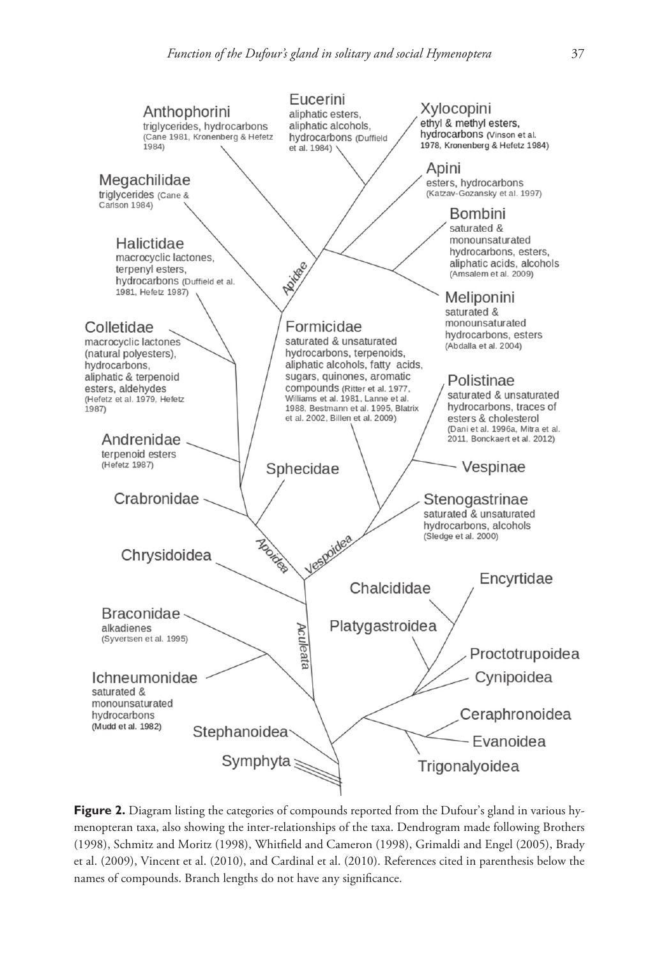

**Figure 2.** Diagram listing the categories of compounds reported from the Dufour's gland in various hymenopteran taxa, also showing the inter-relationships of the taxa. Dendrogram made following Brothers (1998), Schmitz and Moritz (1998), Whitfield and Cameron (1998), Grimaldi and Engel (2005), Brady et al. (2009), Vincent et al. (2010), and Cardinal et al. (2010). References cited in parenthesis below the names of compounds. Branch lengths do not have any significance.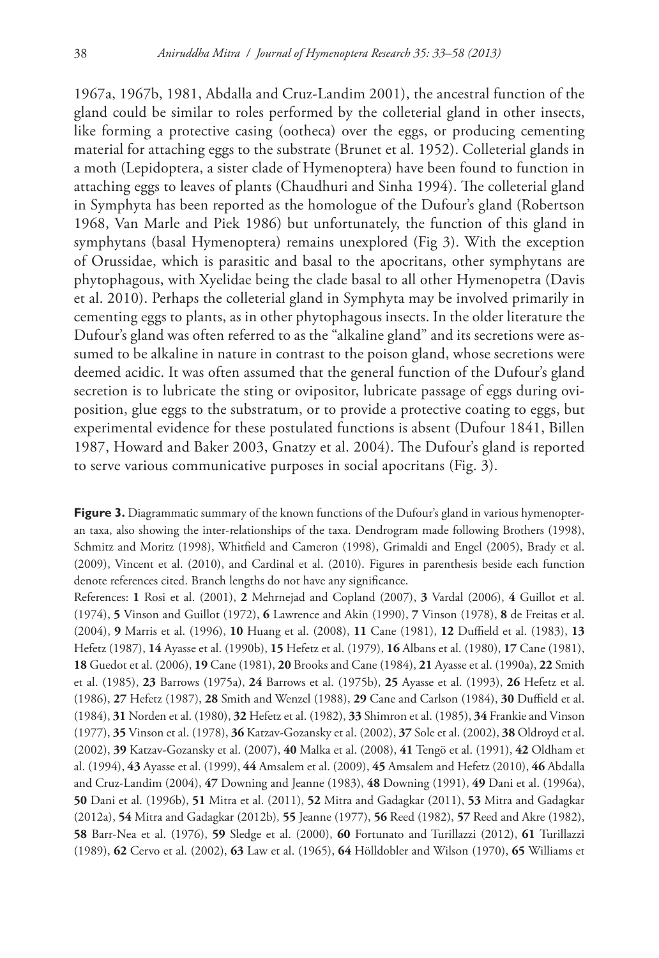1967a, 1967b, 1981, Abdalla and Cruz-Landim 2001), the ancestral function of the gland could be similar to roles performed by the colleterial gland in other insects, like forming a protective casing (ootheca) over the eggs, or producing cementing material for attaching eggs to the substrate (Brunet et al. 1952). Colleterial glands in a moth (Lepidoptera, a sister clade of Hymenoptera) have been found to function in attaching eggs to leaves of plants (Chaudhuri and Sinha 1994). The colleterial gland in Symphyta has been reported as the homologue of the Dufour's gland (Robertson 1968, Van Marle and Piek 1986) but unfortunately, the function of this gland in symphytans (basal Hymenoptera) remains unexplored (Fig 3). With the exception of Orussidae, which is parasitic and basal to the apocritans, other symphytans are phytophagous, with Xyelidae being the clade basal to all other Hymenopetra (Davis et al. 2010). Perhaps the colleterial gland in Symphyta may be involved primarily in cementing eggs to plants, as in other phytophagous insects. In the older literature the Dufour's gland was often referred to as the "alkaline gland" and its secretions were assumed to be alkaline in nature in contrast to the poison gland, whose secretions were deemed acidic. It was often assumed that the general function of the Dufour's gland secretion is to lubricate the sting or ovipositor, lubricate passage of eggs during oviposition, glue eggs to the substratum, or to provide a protective coating to eggs, but experimental evidence for these postulated functions is absent (Dufour 1841, Billen 1987, Howard and Baker 2003, Gnatzy et al. 2004). The Dufour's gland is reported to serve various communicative purposes in social apocritans (Fig. 3).

Figure 3. Diagrammatic summary of the known functions of the Dufour's gland in various hymenopteran taxa, also showing the inter-relationships of the taxa. Dendrogram made following Brothers (1998), Schmitz and Moritz (1998), Whitfield and Cameron (1998), Grimaldi and Engel (2005), Brady et al. (2009), Vincent et al. (2010), and Cardinal et al. (2010). Figures in parenthesis beside each function denote references cited. Branch lengths do not have any significance.

References: **1** Rosi et al. (2001), **2** Mehrnejad and Copland (2007), **3** Vardal (2006), **4** Guillot et al. (1974), **5** Vinson and Guillot (1972), **6** Lawrence and Akin (1990), **7** Vinson (1978), **8** de Freitas et al. (2004), **9** Marris et al. (1996), **10** Huang et al. (2008), **11** Cane (1981), **12** Duffield et al. (1983), **13**  Hefetz (1987), **14** Ayasse et al. (1990b), **15** Hefetz et al. (1979), **16** Albans et al. (1980), **17** Cane (1981), **18** Guedot et al. (2006), **19** Cane (1981), **20** Brooks and Cane (1984), **21** Ayasse et al. (1990a), **22** Smith et al. (1985), **23** Barrows (1975a), **24** Barrows et al. (1975b), **25** Ayasse et al. (1993), **26** Hefetz et al. (1986), **27** Hefetz (1987), **28** Smith and Wenzel (1988), **29** Cane and Carlson (1984), **30** Duffield et al. (1984), **31** Norden et al. (1980), **32** Hefetz et al. (1982), **33** Shimron et al. (1985), **34** Frankie and Vinson (1977), **35** Vinson et al. (1978), **36** Katzav-Gozansky et al. (2002), **37** Sole et al. (2002), **38** Oldroyd et al. (2002), **39** Katzav-Gozansky et al. (2007), **40** Malka et al. (2008), **41** Tengö et al. (1991), **42** Oldham et al. (1994), **43** Ayasse et al. (1999), **44** Amsalem et al. (2009), **45** Amsalem and Hefetz (2010), **46** Abdalla and Cruz-Landim (2004), **47** Downing and Jeanne (1983), **48** Downing (1991), **49** Dani et al. (1996a), **50** Dani et al. (1996b), **51** Mitra et al. (2011), **52** Mitra and Gadagkar (2011), **53** Mitra and Gadagkar (2012a), **54** Mitra and Gadagkar (2012b)*,* **55** Jeanne (1977), **56** Reed (1982), **57** Reed and Akre (1982), **58** Barr-Nea et al. (1976), **59** Sledge et al. (2000), **60** Fortunato and Turillazzi (2012), **61** Turillazzi (1989), **62** Cervo et al. (2002), **63** Law et al. (1965), **64** Hölldobler and Wilson (1970), **65** Williams et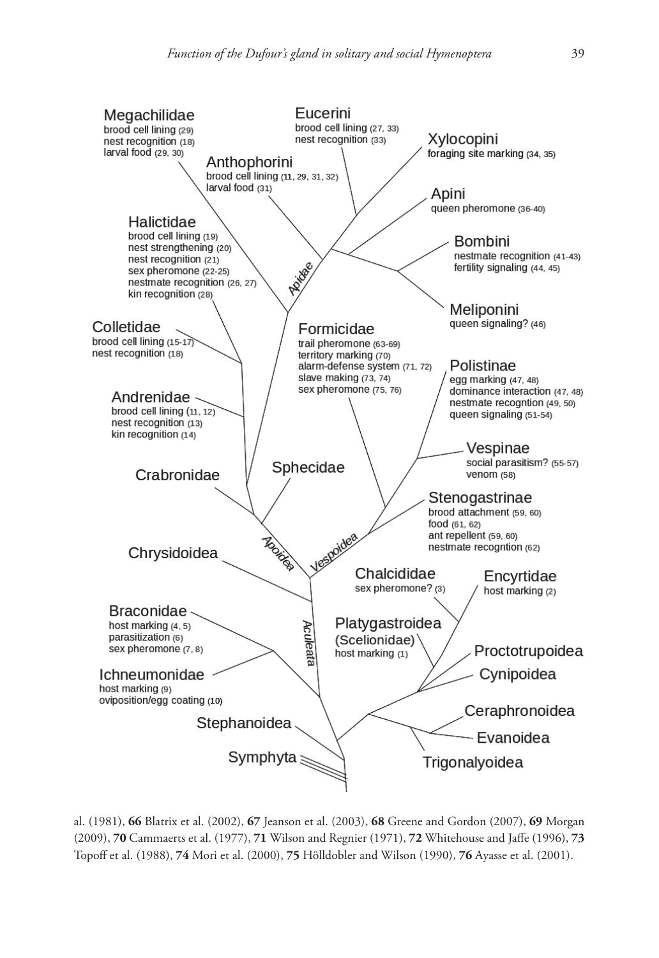

al. (1981), **66** Blatrix et al. (2002), **67** Jeanson et al. (2003), **68** Greene and Gordon (2007), **69** Morgan (2009), **70** Cammaerts et al. (1977), **71** Wilson and Regnier (1971), **72** Whitehouse and Jaffe (1996), **73**  Topoff et al. (1988), **74** Mori et al. (2000), **75** Hölldobler and Wilson (1990), **76** Ayasse et al. (2001).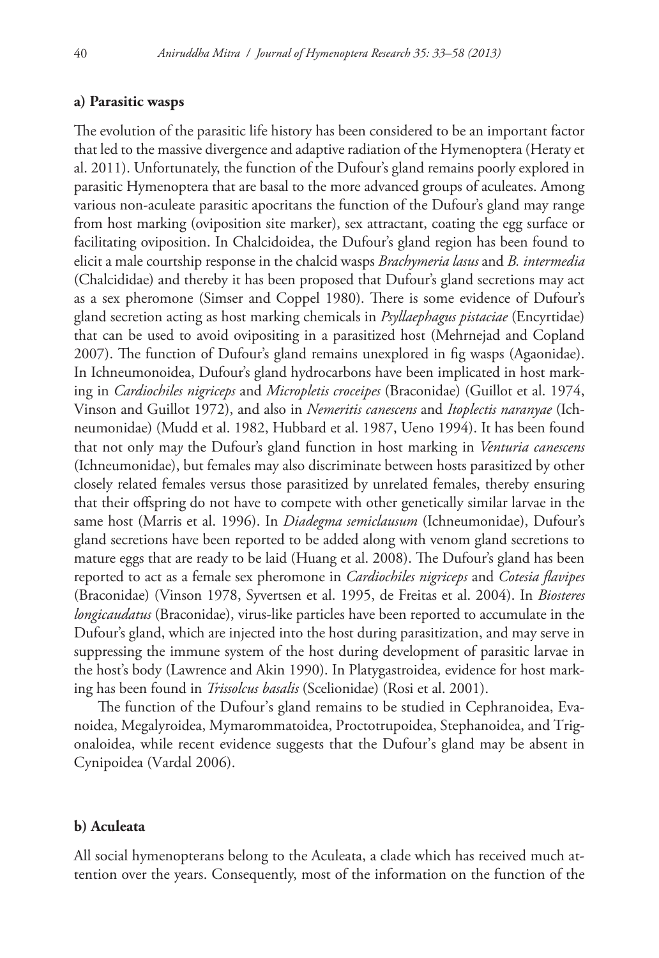#### **a) Parasitic wasps**

The evolution of the parasitic life history has been considered to be an important factor that led to the massive divergence and adaptive radiation of the Hymenoptera (Heraty et al. 2011). Unfortunately, the function of the Dufour's gland remains poorly explored in parasitic Hymenoptera that are basal to the more advanced groups of aculeates. Among various non-aculeate parasitic apocritans the function of the Dufour's gland may range from host marking (oviposition site marker), sex attractant, coating the egg surface or facilitating oviposition. In Chalcidoidea, the Dufour's gland region has been found to elicit a male courtship response in the chalcid wasps *Brachymeria lasus* and *B. intermedia* (Chalcididae) and thereby it has been proposed that Dufour's gland secretions may act as a sex pheromone (Simser and Coppel 1980). There is some evidence of Dufour's gland secretion acting as host marking chemicals in *Psyllaephagus pistaciae* (Encyrtidae) that can be used to avoid ovipositing in a parasitized host (Mehrnejad and Copland 2007). The function of Dufour's gland remains unexplored in fig wasps (Agaonidae). In Ichneumonoidea, Dufour's gland hydrocarbons have been implicated in host marking in *Cardiochiles nigriceps* and *Micropletis croceipes* (Braconidae) (Guillot et al. 1974, Vinson and Guillot 1972), and also in *Nemeritis canescens* and *Itoplectis naranyae* (Ichneumonidae) (Mudd et al. 1982, Hubbard et al. 1987, Ueno 1994). It has been found that not only ma*y* the Dufour's gland function in host marking in *Venturia canescens* (Ichneumonidae), but females may also discriminate between hosts parasitized by other closely related females versus those parasitized by unrelated females, thereby ensuring that their offspring do not have to compete with other genetically similar larvae in the same host (Marris et al. 1996). In *Diadegma semiclausum* (Ichneumonidae), Dufour's gland secretions have been reported to be added along with venom gland secretions to mature eggs that are ready to be laid (Huang et al. 2008). The Dufour's gland has been reported to act as a female sex pheromone in *Cardiochiles nigriceps* and *Cotesia flavipes* (Braconidae) (Vinson 1978, Syvertsen et al. 1995, de Freitas et al. 2004). In *Biosteres longicaudatus* (Braconidae), virus-like particles have been reported to accumulate in the Dufour's gland, which are injected into the host during parasitization, and may serve in suppressing the immune system of the host during development of parasitic larvae in the host's body (Lawrence and Akin 1990). In Platygastroidea*,* evidence for host marking has been found in *Trissolcus basalis* (Scelionidae) (Rosi et al. 2001).

The function of the Dufour's gland remains to be studied in Cephranoidea, Evanoidea, Megalyroidea, Mymarommatoidea, Proctotrupoidea, Stephanoidea, and Trigonaloidea, while recent evidence suggests that the Dufour's gland may be absent in Cynipoidea (Vardal 2006).

# **b) Aculeata**

All social hymenopterans belong to the Aculeata, a clade which has received much attention over the years. Consequently, most of the information on the function of the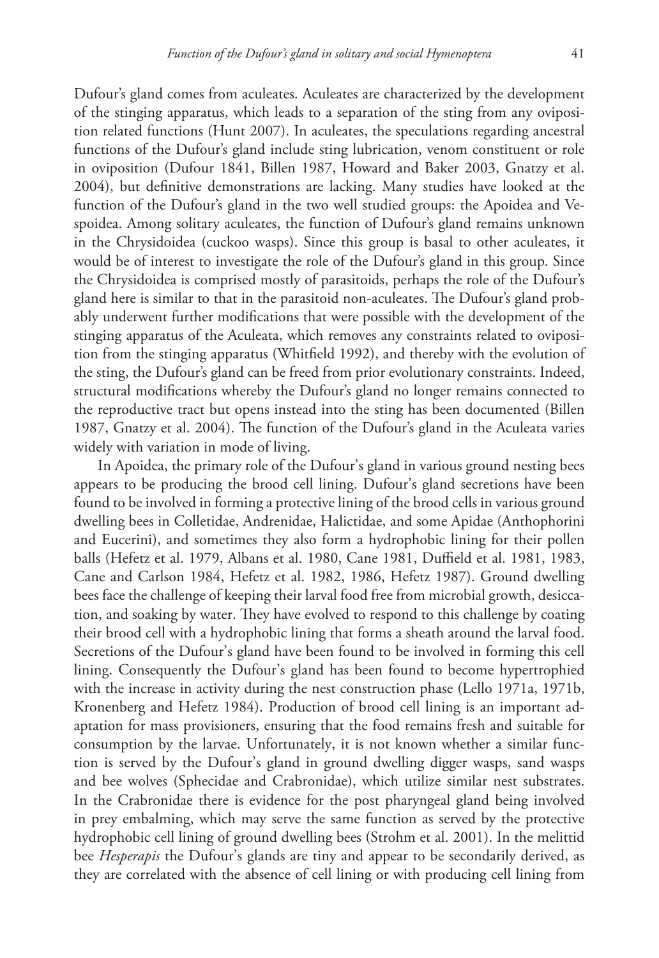Dufour's gland comes from aculeates. Aculeates are characterized by the development of the stinging apparatus, which leads to a separation of the sting from any oviposition related functions (Hunt 2007). In aculeates, the speculations regarding ancestral functions of the Dufour's gland include sting lubrication, venom constituent or role in oviposition (Dufour 1841, Billen 1987, Howard and Baker 2003, Gnatzy et al. 2004), but definitive demonstrations are lacking. Many studies have looked at the function of the Dufour's gland in the two well studied groups: the Apoidea and Vespoidea. Among solitary aculeates, the function of Dufour's gland remains unknown in the Chrysidoidea (cuckoo wasps). Since this group is basal to other aculeates, it would be of interest to investigate the role of the Dufour's gland in this group. Since the Chrysidoidea is comprised mostly of parasitoids, perhaps the role of the Dufour's gland here is similar to that in the parasitoid non-aculeates. The Dufour's gland probably underwent further modifications that were possible with the development of the stinging apparatus of the Aculeata, which removes any constraints related to oviposition from the stinging apparatus (Whitfield 1992), and thereby with the evolution of the sting, the Dufour's gland can be freed from prior evolutionary constraints. Indeed, structural modifications whereby the Dufour's gland no longer remains connected to the reproductive tract but opens instead into the sting has been documented (Billen 1987, Gnatzy et al. 2004). The function of the Dufour's gland in the Aculeata varies widely with variation in mode of living.

In Apoidea, the primary role of the Dufour's gland in various ground nesting bees appears to be producing the brood cell lining. Dufour's gland secretions have been found to be involved in forming a protective lining of the brood cells in various ground dwelling bees in Colletidae, Andrenidae, Halictidae, and some Apidae (Anthophorini and Eucerini), and sometimes they also form a hydrophobic lining for their pollen balls (Hefetz et al. 1979, Albans et al. 1980, Cane 1981, Duffield et al. 1981, 1983, Cane and Carlson 1984, Hefetz et al. 1982, 1986, Hefetz 1987). Ground dwelling bees face the challenge of keeping their larval food free from microbial growth, desiccation, and soaking by water. They have evolved to respond to this challenge by coating their brood cell with a hydrophobic lining that forms a sheath around the larval food. Secretions of the Dufour's gland have been found to be involved in forming this cell lining. Consequently the Dufour's gland has been found to become hypertrophied with the increase in activity during the nest construction phase (Lello 1971a, 1971b, Kronenberg and Hefetz 1984). Production of brood cell lining is an important adaptation for mass provisioners, ensuring that the food remains fresh and suitable for consumption by the larvae. Unfortunately, it is not known whether a similar function is served by the Dufour's gland in ground dwelling digger wasps, sand wasps and bee wolves (Sphecidae and Crabronidae), which utilize similar nest substrates. In the Crabronidae there is evidence for the post pharyngeal gland being involved in prey embalming, which may serve the same function as served by the protective hydrophobic cell lining of ground dwelling bees (Strohm et al. 2001). In the melittid bee *Hesperapis* the Dufour's glands are tiny and appear to be secondarily derived, as they are correlated with the absence of cell lining or with producing cell lining from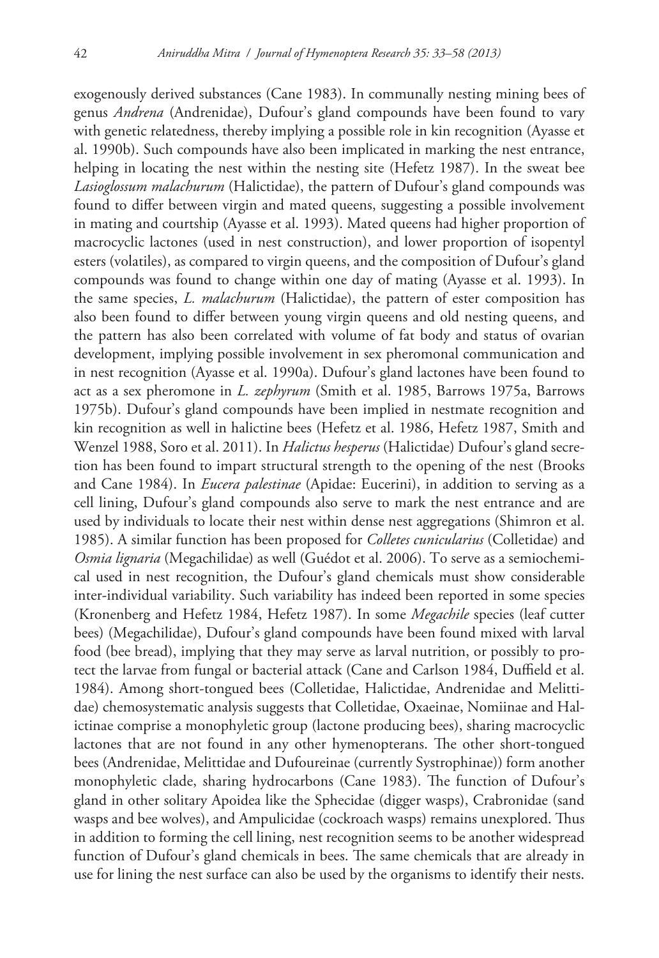exogenously derived substances (Cane 1983). In communally nesting mining bees of genus *Andrena* (Andrenidae), Dufour's gland compounds have been found to vary with genetic relatedness, thereby implying a possible role in kin recognition (Ayasse et al. 1990b). Such compounds have also been implicated in marking the nest entrance, helping in locating the nest within the nesting site (Hefetz 1987). In the sweat bee *Lasioglossum malachurum* (Halictidae), the pattern of Dufour's gland compounds was found to differ between virgin and mated queens, suggesting a possible involvement in mating and courtship (Ayasse et al. 1993). Mated queens had higher proportion of macrocyclic lactones (used in nest construction), and lower proportion of isopentyl esters (volatiles), as compared to virgin queens, and the composition of Dufour's gland compounds was found to change within one day of mating (Ayasse et al. 1993). In the same species, *L. malachurum* (Halictidae), the pattern of ester composition has also been found to differ between young virgin queens and old nesting queens, and the pattern has also been correlated with volume of fat body and status of ovarian development, implying possible involvement in sex pheromonal communication and in nest recognition (Ayasse et al. 1990a). Dufour's gland lactones have been found to act as a sex pheromone in *L. zephyrum* (Smith et al. 1985, Barrows 1975a, Barrows 1975b). Dufour's gland compounds have been implied in nestmate recognition and kin recognition as well in halictine bees (Hefetz et al. 1986, Hefetz 1987, Smith and Wenzel 1988, Soro et al. 2011). In *Halictus hesperus* (Halictidae) Dufour's gland secretion has been found to impart structural strength to the opening of the nest (Brooks and Cane 1984). In *Eucera palestinae* (Apidae: Eucerini), in addition to serving as a cell lining, Dufour's gland compounds also serve to mark the nest entrance and are used by individuals to locate their nest within dense nest aggregations (Shimron et al. 1985). A similar function has been proposed for *Colletes cunicularius* (Colletidae) and *Osmia lignaria* (Megachilidae) as well (Guédot et al. 2006). To serve as a semiochemical used in nest recognition, the Dufour's gland chemicals must show considerable inter-individual variability. Such variability has indeed been reported in some species (Kronenberg and Hefetz 1984, Hefetz 1987). In some *Megachile* species (leaf cutter bees) (Megachilidae), Dufour's gland compounds have been found mixed with larval food (bee bread), implying that they may serve as larval nutrition, or possibly to protect the larvae from fungal or bacterial attack (Cane and Carlson 1984, Duffield et al. 1984). Among short-tongued bees (Colletidae, Halictidae, Andrenidae and Melittidae) chemosystematic analysis suggests that Colletidae, Oxaeinae, Nomiinae and Halictinae comprise a monophyletic group (lactone producing bees), sharing macrocyclic lactones that are not found in any other hymenopterans. The other short-tongued bees (Andrenidae, Melittidae and Dufoureinae (currently Systrophinae)) form another monophyletic clade, sharing hydrocarbons (Cane 1983). The function of Dufour's gland in other solitary Apoidea like the Sphecidae (digger wasps), Crabronidae (sand wasps and bee wolves), and Ampulicidae (cockroach wasps) remains unexplored. Thus in addition to forming the cell lining, nest recognition seems to be another widespread function of Dufour's gland chemicals in bees. The same chemicals that are already in use for lining the nest surface can also be used by the organisms to identify their nests.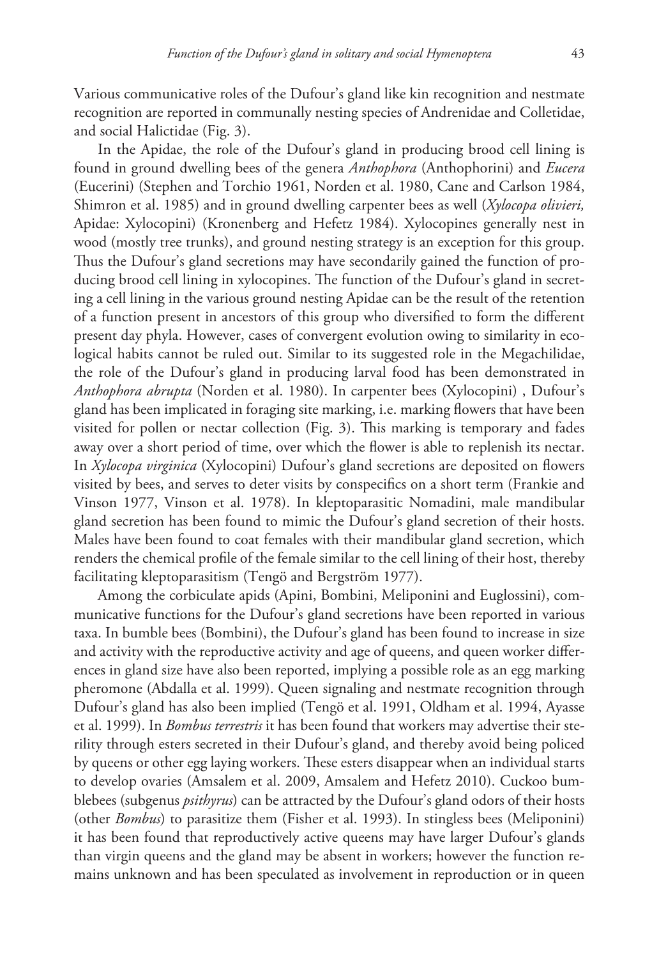Various communicative roles of the Dufour's gland like kin recognition and nestmate recognition are reported in communally nesting species of Andrenidae and Colletidae, and social Halictidae (Fig. 3).

In the Apidae, the role of the Dufour's gland in producing brood cell lining is found in ground dwelling bees of the genera *Anthophora* (Anthophorini) and *Eucera*  (Eucerini) (Stephen and Torchio 1961, Norden et al. 1980, Cane and Carlson 1984, Shimron et al. 1985) and in ground dwelling carpenter bees as well (*Xylocopa olivieri,* Apidae: Xylocopini) (Kronenberg and Hefetz 1984). Xylocopines generally nest in wood (mostly tree trunks), and ground nesting strategy is an exception for this group. Thus the Dufour's gland secretions may have secondarily gained the function of producing brood cell lining in xylocopines. The function of the Dufour's gland in secreting a cell lining in the various ground nesting Apidae can be the result of the retention of a function present in ancestors of this group who diversified to form the different present day phyla. However, cases of convergent evolution owing to similarity in ecological habits cannot be ruled out. Similar to its suggested role in the Megachilidae, the role of the Dufour's gland in producing larval food has been demonstrated in *Anthophora abrupta* (Norden et al. 1980). In carpenter bees (Xylocopini) , Dufour's gland has been implicated in foraging site marking, i.e. marking flowers that have been visited for pollen or nectar collection (Fig. 3). This marking is temporary and fades away over a short period of time, over which the flower is able to replenish its nectar. In *Xylocopa virginica* (Xylocopini) Dufour's gland secretions are deposited on flowers visited by bees, and serves to deter visits by conspecifics on a short term (Frankie and Vinson 1977, Vinson et al. 1978). In kleptoparasitic Nomadini, male mandibular gland secretion has been found to mimic the Dufour's gland secretion of their hosts. Males have been found to coat females with their mandibular gland secretion, which renders the chemical profile of the female similar to the cell lining of their host, thereby facilitating kleptoparasitism (Tengö and Bergström 1977).

Among the corbiculate apids (Apini, Bombini, Meliponini and Euglossini), communicative functions for the Dufour's gland secretions have been reported in various taxa. In bumble bees (Bombini), the Dufour's gland has been found to increase in size and activity with the reproductive activity and age of queens, and queen worker differences in gland size have also been reported, implying a possible role as an egg marking pheromone (Abdalla et al. 1999). Queen signaling and nestmate recognition through Dufour's gland has also been implied (Tengö et al. 1991, Oldham et al. 1994, Ayasse et al. 1999). In *Bombus terrestris* it has been found that workers may advertise their sterility through esters secreted in their Dufour's gland, and thereby avoid being policed by queens or other egg laying workers. These esters disappear when an individual starts to develop ovaries (Amsalem et al. 2009, Amsalem and Hefetz 2010). Cuckoo bumblebees (subgenus *psithyrus*) can be attracted by the Dufour's gland odors of their hosts (other *Bombus*) to parasitize them (Fisher et al. 1993). In stingless bees (Meliponini) it has been found that reproductively active queens may have larger Dufour's glands than virgin queens and the gland may be absent in workers; however the function remains unknown and has been speculated as involvement in reproduction or in queen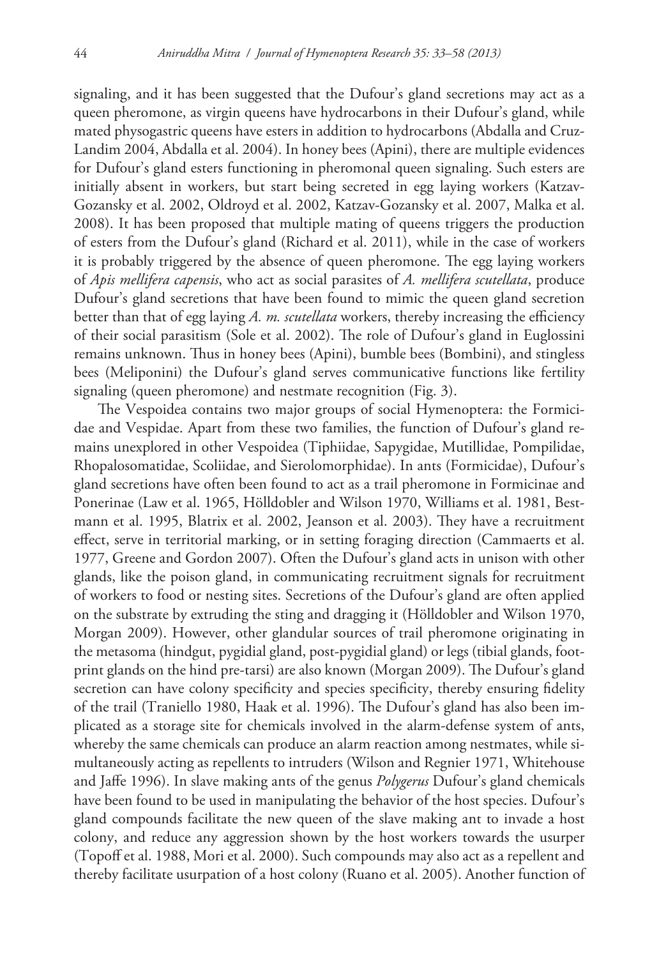signaling, and it has been suggested that the Dufour's gland secretions may act as a queen pheromone, as virgin queens have hydrocarbons in their Dufour's gland, while mated physogastric queens have esters in addition to hydrocarbons (Abdalla and Cruz-Landim 2004, Abdalla et al. 2004). In honey bees (Apini), there are multiple evidences for Dufour's gland esters functioning in pheromonal queen signaling. Such esters are initially absent in workers, but start being secreted in egg laying workers (Katzav-Gozansky et al. 2002, Oldroyd et al. 2002, Katzav-Gozansky et al. 2007, Malka et al. 2008). It has been proposed that multiple mating of queens triggers the production of esters from the Dufour's gland (Richard et al. 2011), while in the case of workers it is probably triggered by the absence of queen pheromone. The egg laying workers of *Apis mellifera capensis*, who act as social parasites of *A. mellifera scutellata*, produce Dufour's gland secretions that have been found to mimic the queen gland secretion better than that of egg laying *A. m. scutellata* workers, thereby increasing the efficiency of their social parasitism (Sole et al. 2002). The role of Dufour's gland in Euglossini remains unknown. Thus in honey bees (Apini), bumble bees (Bombini), and stingless bees (Meliponini) the Dufour's gland serves communicative functions like fertility signaling (queen pheromone) and nestmate recognition (Fig. 3).

The Vespoidea contains two major groups of social Hymenoptera: the Formicidae and Vespidae. Apart from these two families, the function of Dufour's gland remains unexplored in other Vespoidea (Tiphiidae, Sapygidae, Mutillidae, Pompilidae, Rhopalosomatidae, Scoliidae, and Sierolomorphidae). In ants (Formicidae), Dufour's gland secretions have often been found to act as a trail pheromone in Formicinae and Ponerinae (Law et al. 1965, Hölldobler and Wilson 1970, Williams et al. 1981, Bestmann et al. 1995, Blatrix et al. 2002, Jeanson et al. 2003). They have a recruitment effect, serve in territorial marking, or in setting foraging direction (Cammaerts et al. 1977, Greene and Gordon 2007). Often the Dufour's gland acts in unison with other glands, like the poison gland, in communicating recruitment signals for recruitment of workers to food or nesting sites. Secretions of the Dufour's gland are often applied on the substrate by extruding the sting and dragging it (Hölldobler and Wilson 1970, Morgan 2009). However, other glandular sources of trail pheromone originating in the metasoma (hindgut, pygidial gland, post-pygidial gland) or legs (tibial glands, footprint glands on the hind pre-tarsi) are also known (Morgan 2009). The Dufour's gland secretion can have colony specificity and species specificity, thereby ensuring fidelity of the trail (Traniello 1980, Haak et al. 1996). The Dufour's gland has also been implicated as a storage site for chemicals involved in the alarm-defense system of ants, whereby the same chemicals can produce an alarm reaction among nestmates, while simultaneously acting as repellents to intruders (Wilson and Regnier 1971, Whitehouse and Jaffe 1996). In slave making ants of the genus *Polygerus* Dufour's gland chemicals have been found to be used in manipulating the behavior of the host species. Dufour's gland compounds facilitate the new queen of the slave making ant to invade a host colony, and reduce any aggression shown by the host workers towards the usurper (Topoff et al. 1988, Mori et al. 2000). Such compounds may also act as a repellent and thereby facilitate usurpation of a host colony (Ruano et al. 2005). Another function of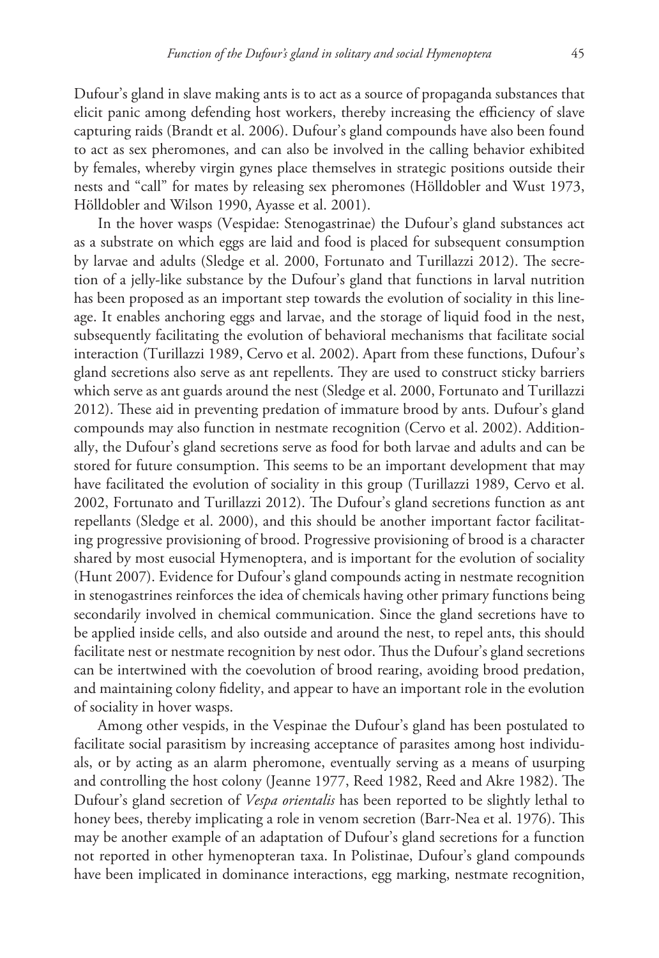Dufour's gland in slave making ants is to act as a source of propaganda substances that elicit panic among defending host workers, thereby increasing the efficiency of slave capturing raids (Brandt et al. 2006). Dufour's gland compounds have also been found to act as sex pheromones, and can also be involved in the calling behavior exhibited by females, whereby virgin gynes place themselves in strategic positions outside their nests and "call" for mates by releasing sex pheromones (Hölldobler and Wust 1973, Hölldobler and Wilson 1990, Ayasse et al. 2001).

In the hover wasps (Vespidae: Stenogastrinae) the Dufour's gland substances act as a substrate on which eggs are laid and food is placed for subsequent consumption by larvae and adults (Sledge et al. 2000, Fortunato and Turillazzi 2012). The secretion of a jelly-like substance by the Dufour's gland that functions in larval nutrition has been proposed as an important step towards the evolution of sociality in this lineage. It enables anchoring eggs and larvae, and the storage of liquid food in the nest, subsequently facilitating the evolution of behavioral mechanisms that facilitate social interaction (Turillazzi 1989, Cervo et al. 2002). Apart from these functions, Dufour's gland secretions also serve as ant repellents. They are used to construct sticky barriers which serve as ant guards around the nest (Sledge et al. 2000, Fortunato and Turillazzi 2012). These aid in preventing predation of immature brood by ants. Dufour's gland compounds may also function in nestmate recognition (Cervo et al. 2002). Additionally, the Dufour's gland secretions serve as food for both larvae and adults and can be stored for future consumption. This seems to be an important development that may have facilitated the evolution of sociality in this group (Turillazzi 1989, Cervo et al. 2002, Fortunato and Turillazzi 2012). The Dufour's gland secretions function as ant repellants (Sledge et al. 2000), and this should be another important factor facilitating progressive provisioning of brood. Progressive provisioning of brood is a character shared by most eusocial Hymenoptera, and is important for the evolution of sociality (Hunt 2007). Evidence for Dufour's gland compounds acting in nestmate recognition in stenogastrines reinforces the idea of chemicals having other primary functions being secondarily involved in chemical communication. Since the gland secretions have to be applied inside cells, and also outside and around the nest, to repel ants, this should facilitate nest or nestmate recognition by nest odor. Thus the Dufour's gland secretions can be intertwined with the coevolution of brood rearing, avoiding brood predation, and maintaining colony fidelity, and appear to have an important role in the evolution of sociality in hover wasps.

Among other vespids, in the Vespinae the Dufour's gland has been postulated to facilitate social parasitism by increasing acceptance of parasites among host individuals, or by acting as an alarm pheromone, eventually serving as a means of usurping and controlling the host colony (Jeanne 1977, Reed 1982, Reed and Akre 1982). The Dufour's gland secretion of *Vespa orientalis* has been reported to be slightly lethal to honey bees, thereby implicating a role in venom secretion (Barr-Nea et al. 1976). This may be another example of an adaptation of Dufour's gland secretions for a function not reported in other hymenopteran taxa. In Polistinae, Dufour's gland compounds have been implicated in dominance interactions, egg marking, nestmate recognition,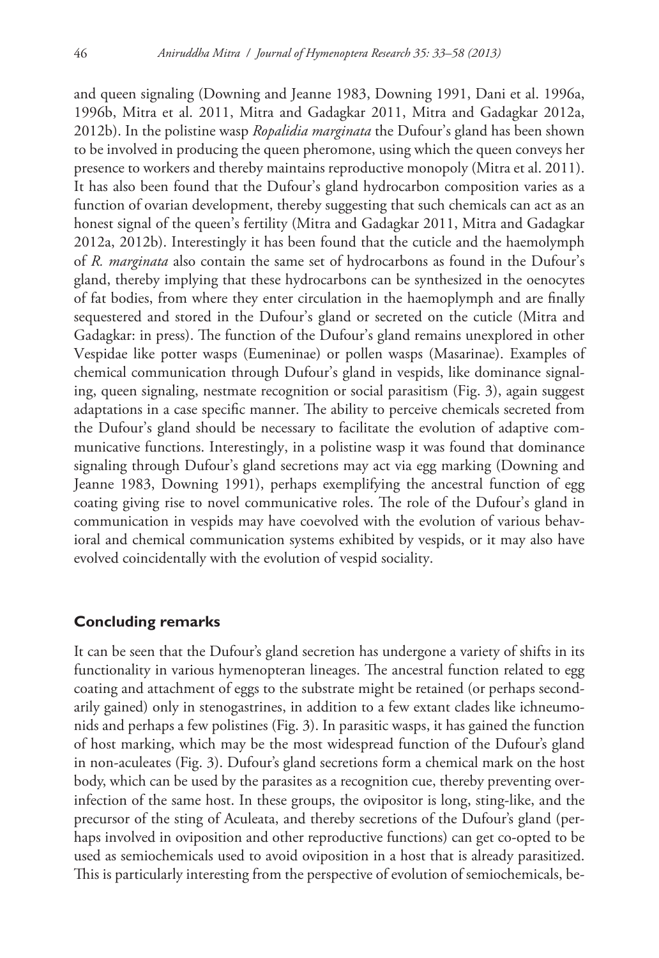and queen signaling (Downing and Jeanne 1983, Downing 1991, Dani et al. 1996a, 1996b, Mitra et al. 2011, Mitra and Gadagkar 2011, Mitra and Gadagkar 2012a, 2012b). In the polistine wasp *Ropalidia marginata* the Dufour's gland has been shown to be involved in producing the queen pheromone, using which the queen conveys her presence to workers and thereby maintains reproductive monopoly (Mitra et al. 2011). It has also been found that the Dufour's gland hydrocarbon composition varies as a function of ovarian development, thereby suggesting that such chemicals can act as an honest signal of the queen's fertility (Mitra and Gadagkar 2011, Mitra and Gadagkar 2012a, 2012b). Interestingly it has been found that the cuticle and the haemolymph of *R. marginata* also contain the same set of hydrocarbons as found in the Dufour's gland, thereby implying that these hydrocarbons can be synthesized in the oenocytes of fat bodies, from where they enter circulation in the haemoplymph and are finally sequestered and stored in the Dufour's gland or secreted on the cuticle (Mitra and Gadagkar: in press). The function of the Dufour's gland remains unexplored in other Vespidae like potter wasps (Eumeninae) or pollen wasps (Masarinae). Examples of chemical communication through Dufour's gland in vespids, like dominance signaling, queen signaling, nestmate recognition or social parasitism (Fig. 3), again suggest adaptations in a case specific manner. The ability to perceive chemicals secreted from the Dufour's gland should be necessary to facilitate the evolution of adaptive communicative functions. Interestingly, in a polistine wasp it was found that dominance signaling through Dufour's gland secretions may act via egg marking (Downing and Jeanne 1983, Downing 1991), perhaps exemplifying the ancestral function of egg coating giving rise to novel communicative roles. The role of the Dufour's gland in communication in vespids may have coevolved with the evolution of various behavioral and chemical communication systems exhibited by vespids, or it may also have evolved coincidentally with the evolution of vespid sociality.

# **Concluding remarks**

It can be seen that the Dufour's gland secretion has undergone a variety of shifts in its functionality in various hymenopteran lineages. The ancestral function related to egg coating and attachment of eggs to the substrate might be retained (or perhaps secondarily gained) only in stenogastrines, in addition to a few extant clades like ichneumonids and perhaps a few polistines (Fig. 3). In parasitic wasps, it has gained the function of host marking, which may be the most widespread function of the Dufour's gland in non-aculeates (Fig. 3). Dufour's gland secretions form a chemical mark on the host body, which can be used by the parasites as a recognition cue, thereby preventing overinfection of the same host. In these groups, the ovipositor is long, sting-like, and the precursor of the sting of Aculeata, and thereby secretions of the Dufour's gland (perhaps involved in oviposition and other reproductive functions) can get co-opted to be used as semiochemicals used to avoid oviposition in a host that is already parasitized. This is particularly interesting from the perspective of evolution of semiochemicals, be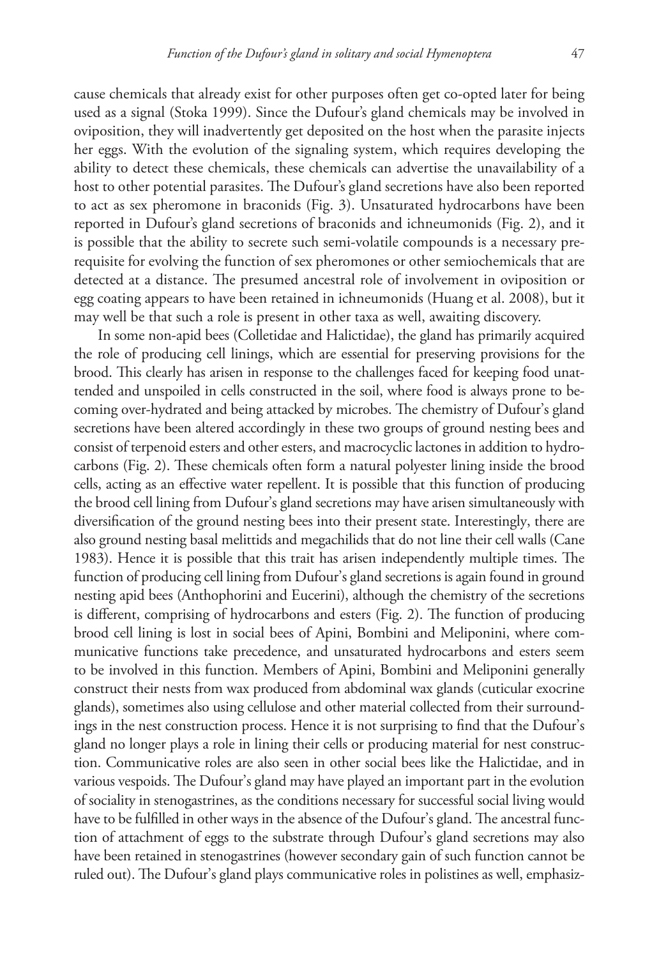cause chemicals that already exist for other purposes often get co-opted later for being used as a signal (Stoka 1999). Since the Dufour's gland chemicals may be involved in oviposition, they will inadvertently get deposited on the host when the parasite injects her eggs. With the evolution of the signaling system, which requires developing the ability to detect these chemicals, these chemicals can advertise the unavailability of a host to other potential parasites. The Dufour's gland secretions have also been reported to act as sex pheromone in braconids (Fig. 3). Unsaturated hydrocarbons have been reported in Dufour's gland secretions of braconids and ichneumonids (Fig. 2), and it is possible that the ability to secrete such semi-volatile compounds is a necessary prerequisite for evolving the function of sex pheromones or other semiochemicals that are detected at a distance. The presumed ancestral role of involvement in oviposition or egg coating appears to have been retained in ichneumonids (Huang et al. 2008), but it may well be that such a role is present in other taxa as well, awaiting discovery.

In some non-apid bees (Colletidae and Halictidae), the gland has primarily acquired the role of producing cell linings, which are essential for preserving provisions for the brood. This clearly has arisen in response to the challenges faced for keeping food unattended and unspoiled in cells constructed in the soil, where food is always prone to becoming over-hydrated and being attacked by microbes. The chemistry of Dufour's gland secretions have been altered accordingly in these two groups of ground nesting bees and consist of terpenoid esters and other esters, and macrocyclic lactones in addition to hydrocarbons (Fig. 2). These chemicals often form a natural polyester lining inside the brood cells, acting as an effective water repellent. It is possible that this function of producing the brood cell lining from Dufour's gland secretions may have arisen simultaneously with diversification of the ground nesting bees into their present state. Interestingly, there are also ground nesting basal melittids and megachilids that do not line their cell walls (Cane 1983). Hence it is possible that this trait has arisen independently multiple times. The function of producing cell lining from Dufour's gland secretions is again found in ground nesting apid bees (Anthophorini and Eucerini), although the chemistry of the secretions is different, comprising of hydrocarbons and esters (Fig. 2). The function of producing brood cell lining is lost in social bees of Apini, Bombini and Meliponini, where communicative functions take precedence, and unsaturated hydrocarbons and esters seem to be involved in this function. Members of Apini, Bombini and Meliponini generally construct their nests from wax produced from abdominal wax glands (cuticular exocrine glands), sometimes also using cellulose and other material collected from their surroundings in the nest construction process. Hence it is not surprising to find that the Dufour's gland no longer plays a role in lining their cells or producing material for nest construction. Communicative roles are also seen in other social bees like the Halictidae, and in various vespoids. The Dufour's gland may have played an important part in the evolution of sociality in stenogastrines, as the conditions necessary for successful social living would have to be fulfilled in other ways in the absence of the Dufour's gland. The ancestral function of attachment of eggs to the substrate through Dufour's gland secretions may also have been retained in stenogastrines (however secondary gain of such function cannot be ruled out). The Dufour's gland plays communicative roles in polistines as well, emphasiz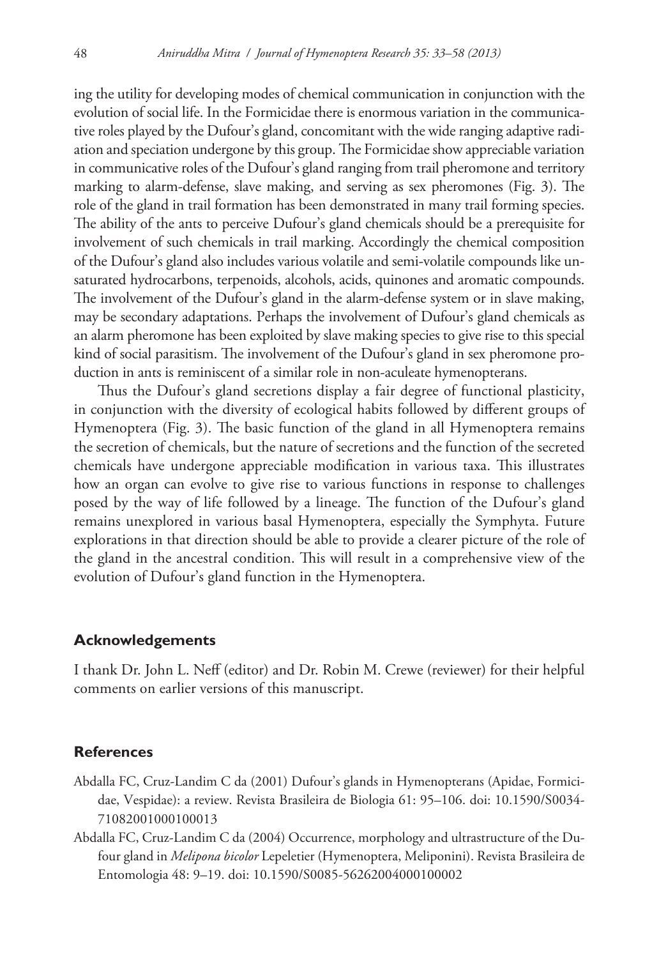ing the utility for developing modes of chemical communication in conjunction with the evolution of social life. In the Formicidae there is enormous variation in the communicative roles played by the Dufour's gland, concomitant with the wide ranging adaptive radiation and speciation undergone by this group. The Formicidae show appreciable variation in communicative roles of the Dufour's gland ranging from trail pheromone and territory marking to alarm-defense, slave making, and serving as sex pheromones (Fig. 3). The role of the gland in trail formation has been demonstrated in many trail forming species. The ability of the ants to perceive Dufour's gland chemicals should be a prerequisite for involvement of such chemicals in trail marking. Accordingly the chemical composition of the Dufour's gland also includes various volatile and semi-volatile compounds like unsaturated hydrocarbons, terpenoids, alcohols, acids, quinones and aromatic compounds. The involvement of the Dufour's gland in the alarm-defense system or in slave making, may be secondary adaptations. Perhaps the involvement of Dufour's gland chemicals as an alarm pheromone has been exploited by slave making species to give rise to this special kind of social parasitism. The involvement of the Dufour's gland in sex pheromone production in ants is reminiscent of a similar role in non-aculeate hymenopterans.

Thus the Dufour's gland secretions display a fair degree of functional plasticity, in conjunction with the diversity of ecological habits followed by different groups of Hymenoptera (Fig. 3). The basic function of the gland in all Hymenoptera remains the secretion of chemicals, but the nature of secretions and the function of the secreted chemicals have undergone appreciable modification in various taxa. This illustrates how an organ can evolve to give rise to various functions in response to challenges posed by the way of life followed by a lineage. The function of the Dufour's gland remains unexplored in various basal Hymenoptera, especially the Symphyta. Future explorations in that direction should be able to provide a clearer picture of the role of the gland in the ancestral condition. This will result in a comprehensive view of the evolution of Dufour's gland function in the Hymenoptera.

# **Acknowledgements**

I thank Dr. John L. Neff (editor) and Dr. Robin M. Crewe (reviewer) for their helpful comments on earlier versions of this manuscript.

# **References**

- Abdalla FC, Cruz-Landim C da (2001) Dufour's glands in Hymenopterans (Apidae, Formicidae, Vespidae): a review. Revista Brasileira de Biologia 61: 95–106. [doi: 10.1590/S0034-](http://dx.doi.org/10.1590/S0034-71082001000100013) [71082001000100013](http://dx.doi.org/10.1590/S0034-71082001000100013)
- Abdalla FC, Cruz-Landim C da (2004) Occurrence, morphology and ultrastructure of the Dufour gland in *Melipona bicolor* Lepeletier (Hymenoptera, Meliponini). Revista Brasileira de Entomologia 48: 9–19. [doi: 10.1590/S0085-56262004000100002](http://dx.doi.org/10.1590/S0085-56262004000100002)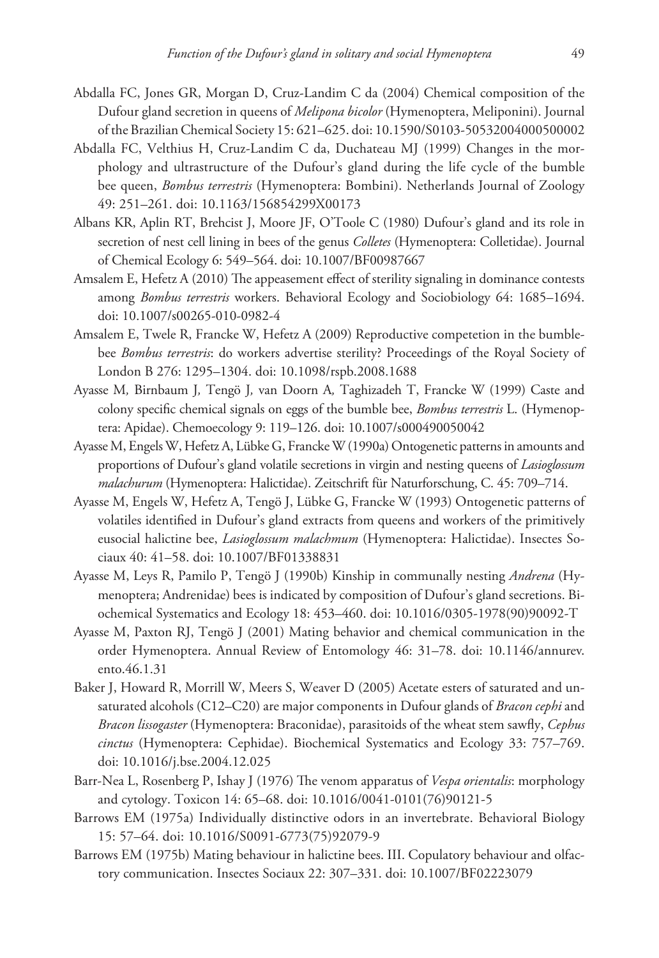- Abdalla FC, Jones GR, Morgan D, Cruz-Landim C da (2004) Chemical composition of the Dufour gland secretion in queens of *Melipona bicolor* (Hymenoptera, Meliponini). Journal of the Brazilian Chemical Society 15: 621–625. [doi: 10.1590/S0103-50532004000500002](http://dx.doi.org/10.1590/S0103-50532004000500002)
- Abdalla FC, Velthius H, Cruz-Landim C da, Duchateau MJ (1999) Changes in the morphology and ultrastructure of the Dufour's gland during the life cycle of the bumble bee queen, *Bombus terrestris* (Hymenoptera: Bombini). Netherlands Journal of Zoology 49: 251–261. [doi: 10.1163/156854299X00173](http://dx.doi.org/10.1163/156854299X00173)
- Albans KR, Aplin RT, Brehcist J, Moore JF, O'Toole C (1980) Dufour's gland and its role in secretion of nest cell lining in bees of the genus *Colletes* (Hymenoptera: Colletidae). Journal of Chemical Ecology 6: 549–564. [doi: 10.1007/BF00987667](http://dx.doi.org/10.1007/BF00987667)
- Amsalem E, Hefetz A (2010) The appeasement effect of sterility signaling in dominance contests among *Bombus terrestris* workers. Behavioral Ecology and Sociobiology 64: 1685–1694. [doi: 10.1007/s00265-010-0982-4](http://dx.doi.org/10.1007/s00265-010-0982-4)
- Amsalem E, Twele R, Francke W, Hefetz A (2009) Reproductive competetion in the bumblebee *Bombus terrestris*: do workers advertise sterility? Proceedings of the Royal Society of London B 276: 1295–1304. [doi: 10.1098/rspb.2008.1688](http://dx.doi.org/10.1098/rspb.2008.1688)
- Ayasse M*,* Birnbaum J*,* Tengö J*,* van Doorn A*,* Taghizadeh T, Francke W (1999) Caste and colony specific chemical signals on eggs of the bumble bee, *Bombus terrestris* L. (Hymenoptera: Apidae). Chemoecology 9: 119–126. [doi: 10.1007/s000490050042](http://dx.doi.org/10.1007/s000490050042)
- Ayasse M, Engels W, Hefetz A, Lübke G, Francke W (1990a) Ontogenetic patterns in amounts and proportions of Dufour's gland volatile secretions in virgin and nesting queens of *Lasioglossum malachurum* (Hymenoptera: Halictidae). Zeitschrift für Naturforschung, C. 45: 709–714.
- Ayasse M, Engels W, Hefetz A, Tengö J, Lübke G, Francke W (1993) Ontogenetic patterns of volatiles identified in Dufour's gland extracts from queens and workers of the primitively eusocial halictine bee, *Lasioglossum malachmum* (Hymenoptera: Halictidae). Insectes Sociaux 40: 41–58. [doi: 10.1007/BF01338831](http://dx.doi.org/10.1007/BF01338831)
- Ayasse M, Leys R, Pamilo P, Tengö J (1990b) Kinship in communally nesting *Andrena* (Hymenoptera; Andrenidae) bees is indicated by composition of Dufour's gland secretions. Biochemical Systematics and Ecology 18: 453–460. [doi: 10.1016/0305-1978\(90\)90092-T](http://dx.doi.org/10.1016/0305-1978(90)90092-T)
- Ayasse M, Paxton RJ, Tengö J (2001) Mating behavior and chemical communication in the order Hymenoptera. Annual Review of Entomology 46: 31–78. [doi: 10.1146/annurev.](http://dx.doi.org/10.1146/annurev.ento.46.1.31) [ento.46.1.31](http://dx.doi.org/10.1146/annurev.ento.46.1.31)
- Baker J, Howard R, Morrill W, Meers S, Weaver D (2005) Acetate esters of saturated and unsaturated alcohols (C12–C20) are major components in Dufour glands of *Bracon cephi* and *Bracon lissogaster* (Hymenoptera: Braconidae), parasitoids of the wheat stem sawfly, *Cephus cinctus* (Hymenoptera: Cephidae). Biochemical Systematics and Ecology 33: 757–769. [doi: 10.1016/j.bse.2004.12.025](http://dx.doi.org/10.1016/j.bse.2004.12.025)
- Barr-Nea L, Rosenberg P, Ishay J (1976) The venom apparatus of *Vespa orientalis*: morphology and cytology. Toxicon 14: 65–68. [doi: 10.1016/0041-0101\(76\)90121-5](http://dx.doi.org/10.1016/0041-0101(76)90121-5)
- Barrows EM (1975a) Individually distinctive odors in an invertebrate. Behavioral Biology 15: 57–64. [doi: 10.1016/S0091-6773\(75\)92079-9](http://dx.doi.org/10.1016/S0091-6773(75)92079-9)
- Barrows EM (1975b) Mating behaviour in halictine bees. III. Copulatory behaviour and olfactory communication. Insectes Sociaux 22: 307–331. [doi: 10.1007/BF02223079](http://dx.doi.org/10.1007/BF02223079)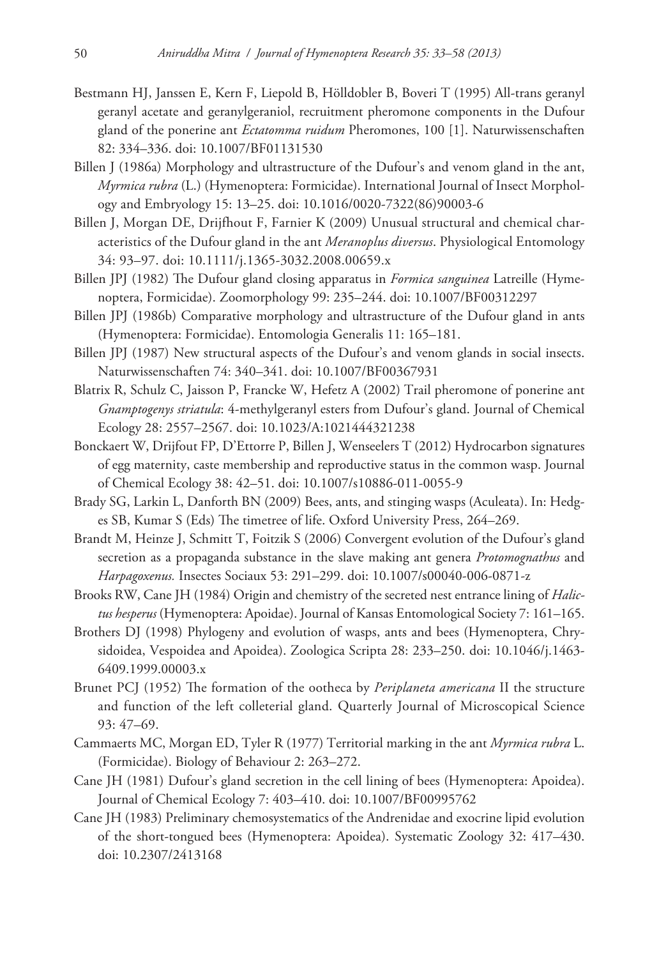- Bestmann HJ, Janssen E, Kern F, Liepold B, Hölldobler B, Boveri T (1995) All-trans geranyl geranyl acetate and geranylgeraniol, recruitment pheromone components in the Dufour gland of the ponerine ant *Ectatomma ruidum* Pheromones, 100 [1]. Naturwissenschaften 82: 334–336. [doi: 10.1007/BF01131530](http://dx.doi.org/10.1007/BF01131530)
- Billen J (1986a) Morphology and ultrastructure of the Dufour's and venom gland in the ant, *Myrmica rubra* (L.) (Hymenoptera: Formicidae). International Journal of Insect Morphology and Embryology 15: 13–25. [doi: 10.1016/0020-7322\(86\)90003-6](http://dx.doi.org/10.1016/0020-7322(86)90003-6)
- Billen J, Morgan DE, Drijfhout F, Farnier K (2009) Unusual structural and chemical characteristics of the Dufour gland in the ant *Meranoplus diversus*. Physiological Entomology 34: 93–97. [doi: 10.1111/j.1365-3032.2008.00659.x](http://dx.doi.org/10.1111/j.1365-3032.2008.00659.x)
- Billen JPJ (1982) The Dufour gland closing apparatus in *Formica sanguinea* Latreille (Hymenoptera, Formicidae). Zoomorphology 99: 235–244. [doi: 10.1007/BF00312297](http://dx.doi.org/10.1007/BF00312297)
- Billen JPJ (1986b) Comparative morphology and ultrastructure of the Dufour gland in ants (Hymenoptera: Formicidae). Entomologia Generalis 11: 165–181.
- Billen JPJ (1987) New structural aspects of the Dufour's and venom glands in social insects. Naturwissenschaften 74: 340–341. [doi: 10.1007/BF00367931](http://dx.doi.org/10.1007/BF00367931)
- Blatrix R, Schulz C, Jaisson P, Francke W, Hefetz A (2002) Trail pheromone of ponerine ant *Gnamptogenys striatula*: 4-methylgeranyl esters from Dufour's gland. Journal of Chemical Ecology 28: 2557–2567. [doi: 10.1023/A:1021444321238](http://dx.doi.org/10.1023/A:1021444321238)
- Bonckaert W, Drijfout FP, D'Ettorre P, Billen J, Wenseelers T (2012) Hydrocarbon signatures of egg maternity, caste membership and reproductive status in the common wasp. Journal of Chemical Ecology 38: 42–51. [doi: 10.1007/s10886-011-0055-9](http://dx.doi.org/10.1007/s10886-011-0055-9)
- Brady SG, Larkin L, Danforth BN (2009) Bees, ants, and stinging wasps (Aculeata). In: Hedges SB, Kumar S (Eds) The timetree of life. Oxford University Press, 264–269.
- Brandt M, Heinze J, Schmitt T, Foitzik S (2006) Convergent evolution of the Dufour's gland secretion as a propaganda substance in the slave making ant genera *Protomognathus* and *Harpagoxenus.* Insectes Sociaux 53: 291–299. [doi: 10.1007/s00040-006-0871-z](http://dx.doi.org/10.1007/s00040-006-0871-z)
- Brooks RW, Cane JH (1984) Origin and chemistry of the secreted nest entrance lining of *Halictus hesperus* (Hymenoptera: Apoidae). Journal of Kansas Entomological Society 7: 161–165.
- Brothers DJ (1998) Phylogeny and evolution of wasps, ants and bees (Hymenoptera, Chrysidoidea, Vespoidea and Apoidea). Zoologica Scripta 28: 233–250. [doi: 10.1046/j.1463-](http://dx.doi.org/10.1046/j.1463-6409.1999.00003.x) [6409.1999.00003.x](http://dx.doi.org/10.1046/j.1463-6409.1999.00003.x)
- Brunet PCJ (1952) The formation of the ootheca by *Periplaneta americana* II the structure and function of the left colleterial gland. Quarterly Journal of Microscopical Science 93: 47–69.
- Cammaerts MC, Morgan ED, Tyler R (1977) Territorial marking in the ant *Myrmica rubra* L. (Formicidae). Biology of Behaviour 2: 263–272.
- Cane JH (1981) Dufour's gland secretion in the cell lining of bees (Hymenoptera: Apoidea). Journal of Chemical Ecology 7: 403–410. [doi: 10.1007/BF00995762](http://dx.doi.org/10.1007/BF00995762)
- Cane JH (1983) Preliminary chemosystematics of the Andrenidae and exocrine lipid evolution of the short-tongued bees (Hymenoptera: Apoidea). Systematic Zoology 32: 417–430. [doi: 10.2307/2413168](http://dx.doi.org/10.2307/2413168)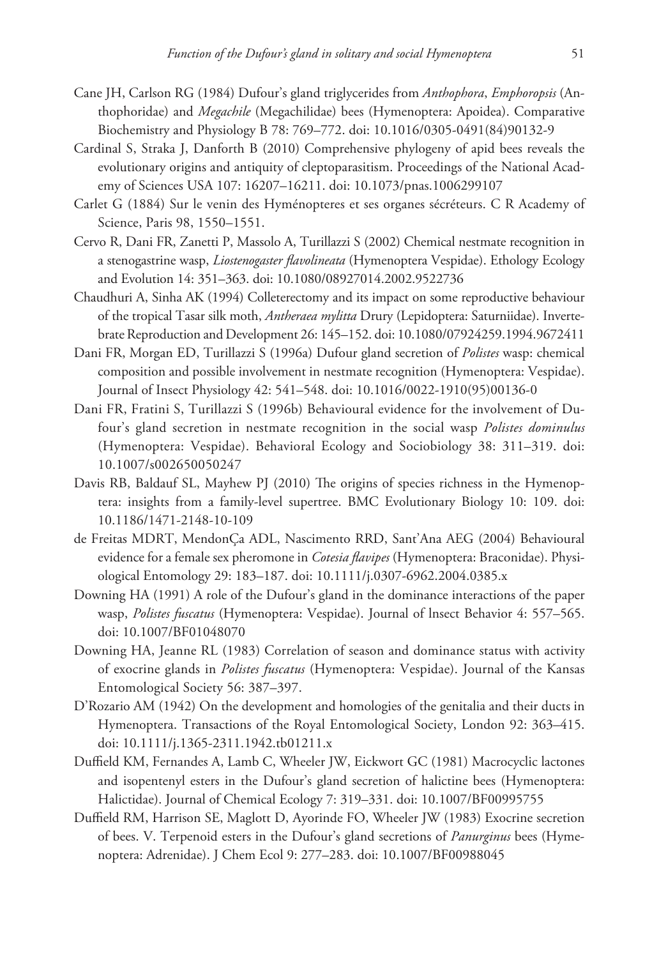- Cane JH, Carlson RG (1984) Dufour's gland triglycerides from *Anthophora*, *Emphoropsis* (Anthophoridae) and *Megachile* (Megachilidae) bees (Hymenoptera: Apoidea). Comparative Biochemistry and Physiology B 78: 769–772. [doi: 10.1016/0305-0491\(84\)90132-9](http://dx.doi.org/10.1016/0305-0491(84)90132-9)
- Cardinal S, Straka J, Danforth B (2010) Comprehensive phylogeny of apid bees reveals the evolutionary origins and antiquity of cleptoparasitism. Proceedings of the National Academy of Sciences USA 107: 16207–16211. [doi: 10.1073/pnas.1006299107](http://dx.doi.org/10.1073/pnas.1006299107)
- Carlet G (1884) Sur le venin des Hyménopteres et ses organes sécréteurs. C R Academy of Science, Paris 98, 1550–1551.
- Cervo R, Dani FR, Zanetti P, Massolo A, Turillazzi S (2002) Chemical nestmate recognition in a stenogastrine wasp, *Liostenogaster flavolineata* (Hymenoptera Vespidae). Ethology Ecology and Evolution 14: 351–363. doi: [10.1080/08927014.2002.9522736](http://dx.doi.org/10.1080/08927014.2002.9522736)
- Chaudhuri A, Sinha AK (1994) Colleterectomy and its impact on some reproductive behaviour of the tropical Tasar silk moth, *Antheraea mylitta* Drury (Lepidoptera: Saturniidae). Invertebrate Reproduction and Development 26: 145–152. doi: [10.1080/07924259.1994.9672411](http://dx.doi.org/10.1080/07924259.1994.9672411)
- Dani FR, Morgan ED, Turillazzi S (1996a) Dufour gland secretion of *Polistes* wasp: chemical composition and possible involvement in nestmate recognition (Hymenoptera: Vespidae). Journal of Insect Physiology 42: 541–548. [doi: 10.1016/0022-1910\(95\)00136-0](http://dx.doi.org/10.1016/0022-1910(95)00136-0)
- Dani FR, Fratini S, Turillazzi S (1996b) Behavioural evidence for the involvement of Dufour's gland secretion in nestmate recognition in the social wasp *Polistes dominulus* (Hymenoptera: Vespidae). Behavioral Ecology and Sociobiology 38: 311–319. [doi:](http://dx.doi.org/10.1007/s002650050247) [10.1007/s002650050247](http://dx.doi.org/10.1007/s002650050247)
- Davis RB, Baldauf SL, Mayhew PJ (2010) The origins of species richness in the Hymenoptera: insights from a family-level supertree. BMC Evolutionary Biology 10: 109. [doi:](http://dx.doi.org/10.1186/1471-2148-10-109) [10.1186/1471-2148-10-109](http://dx.doi.org/10.1186/1471-2148-10-109)
- de Freitas MDRT, MendonÇa ADL, Nascimento RRD, Sant'Ana AEG (2004) Behavioural evidence for a female sex pheromone in *Cotesia flavipes* (Hymenoptera: Braconidae). Physiological Entomology 29: 183–187. [doi: 10.1111/j.0307-6962.2004.0385.x](http://dx.doi.org/10.1111/j.0307-6962.2004.0385.x)
- Downing HA (1991) A role of the Dufour's gland in the dominance interactions of the paper wasp, *Polistes fuscatus* (Hymenoptera: Vespidae). Journal of lnsect Behavior 4: 557–565. [doi: 10.1007/BF01048070](http://dx.doi.org/10.1007/BF01048070)
- Downing HA, Jeanne RL (1983) Correlation of season and dominance status with activity of exocrine glands in *Polistes fuscatus* (Hymenoptera: Vespidae). Journal of the Kansas Entomological Society 56: 387–397.
- D'Rozario AM (1942) On the development and homologies of the genitalia and their ducts in Hymenoptera. Transactions of the Royal Entomological Society, London 92: 363–415. [doi: 10.1111/j.1365-2311.1942.tb01211.x](http://dx.doi.org/10.1111/j.1365-2311.1942.tb01211.x)
- Duffield KM, Fernandes A, Lamb C, Wheeler JW, Eickwort GC (1981) Macrocyclic lactones and isopentenyl esters in the Dufour's gland secretion of halictine bees (Hymenoptera: Halictidae). Journal of Chemical Ecology 7: 319–331. [doi: 10.1007/BF00995755](http://dx.doi.org/10.1007/BF00995755)
- Duffield RM, Harrison SE, Maglott D, Ayorinde FO, Wheeler JW (1983) Exocrine secretion of bees. V. Terpenoid esters in the Dufour's gland secretions of *Panurginus* bees (Hymenoptera: Adrenidae). J Chem Ecol 9: 277–283. [doi: 10.1007/BF00988045](http://dx.doi.org/10.1007/BF00988045)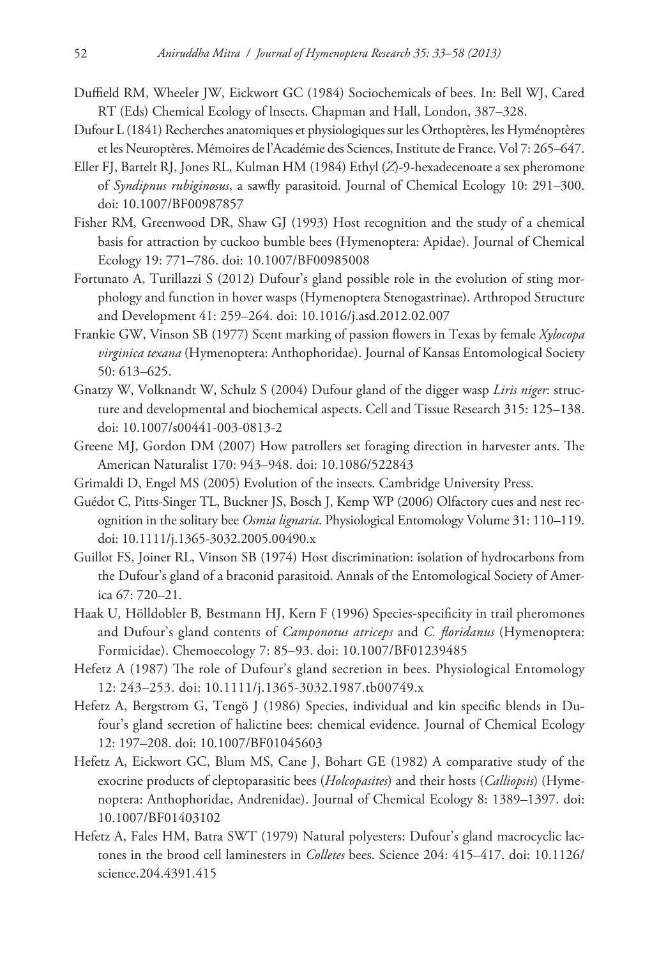- Duffield RM, Wheeler JW, Eickwort GC (1984) Sociochemicals of bees. In: Bell WJ, Cared RT (Eds) Chemical Ecology of lnsects. Chapman and Hall, London, 387–328.
- Dufour L (1841) Recherches anatomiques et physiologiques sur les Orthoptères, les Hyménoptères et les Neuroptères. Mémoires de l'Académie des Sciences, Institute de France. Vol 7: 265–647.
- Eller FJ, Bartelt RJ, Jones RL, Kulman HM (1984) Ethyl (*Z*)-9-hexadecenoate a sex pheromone of *Syndipnus rubiginosus*, a sawfly parasitoid. Journal of Chemical Ecology 10: 291–300. [doi: 10.1007/BF00987857](http://dx.doi.org/10.1007/BF00987857)
- Fisher RM*,* Greenwood DR, Shaw GJ (1993) Host recognition and the study of a chemical basis for attraction by cuckoo bumble bees (Hymenoptera: Apidae). Journal of Chemical Ecology 19: 771–786. [doi: 10.1007/BF00985008](http://dx.doi.org/10.1007/BF00985008)
- Fortunato A, Turillazzi S (2012) Dufour's gland possible role in the evolution of sting morphology and function in hover wasps (Hymenoptera Stenogastrinae). Arthropod Structure and Development 41: 259–264. [doi: 10.1016/j.asd.2012.02.007](http://dx.doi.org/10.1016/j.asd.2012.02.007)
- Frankie GW, Vinson SB (1977) Scent marking of passion flowers in Texas by female *Xylocopa virginica texana* (Hymenoptera: Anthophoridae). Journal of Kansas Entomological Society 50: 613–625.
- Gnatzy W, Volknandt W, Schulz S (2004) Dufour gland of the digger wasp *Liris niger*: structure and developmental and biochemical aspects. Cell and Tissue Research 315: 125–138. [doi: 10.1007/s00441-003-0813-2](http://dx.doi.org/10.1007/s00441-003-0813-2)
- Greene MJ, Gordon DM (2007) How patrollers set foraging direction in harvester ants. The American Naturalist 170: 943–948. [doi: 10.1086/522843](http://dx.doi.org/10.1086/522843)
- Grimaldi D, Engel MS (2005) Evolution of the insects. Cambridge University Press.
- Guédot C, Pitts-Singer TL, Buckner JS, Bosch J, Kemp WP (2006) Olfactory cues and nest recognition in the solitary bee *Osmia lignaria*. Physiological Entomology Volume 31: 110–119. [doi: 10.1111/j.1365-3032.2005.00490.x](http://dx.doi.org/10.1111/j.1365-3032.2005.00490.x)
- Guillot FS, Joiner RL, Vinson SB (1974) Host discrimination: isolation of hydrocarbons from the Dufour's gland of a braconid parasitoid. Annals of the Entomological Society of America 67: 720–21.
- Haak U*,* Hölldobler B*,* Bestmann HJ, Kern F (1996) Species-specificity in trail pheromones and Dufour's gland contents of *Camponotus atriceps* and *C. floridanus* (Hymenoptera: Formicidae). Chemoecology 7: 85–93. doi: [10.1007/BF01239485](http://dx.doi.org/10.1007/BF01239485)
- Hefetz A (1987) The role of Dufour's gland secretion in bees. Physiological Entomology 12: 243–253. [doi: 10.1111/j.1365-3032.1987.tb00749.x](http://dx.doi.org/10.1111/j.1365-3032.1987.tb00749.x)
- Hefetz A, Bergstrom G, Tengö J (1986) Species, individual and kin specific blends in Dufour's gland secretion of halictine bees: chemical evidence. Journal of Chemical Ecology 12: 197–208. [doi: 10.1007/BF01045603](http://dx.doi.org/10.1007/BF01045603)
- Hefetz A, Eickwort GC, Blum MS, Cane J, Bohart GE (1982) A comparative study of the exocrine products of cleptoparasitic bees (*Holcopasites*) and their hosts (*Calliopsis*) (Hymenoptera: Anthophoridae, Andrenidae). Journal of Chemical Ecology 8: 1389–1397. [doi:](http://dx.doi.org/10.1007/BF01403102) [10.1007/BF01403102](http://dx.doi.org/10.1007/BF01403102)
- Hefetz A, Fales HM, Batra SWT (1979) Natural polyesters: Dufour's gland macrocyclic lactones in the brood cell laminesters in *Colletes* bees. Science 204: 415–417. [doi: 10.1126/](http://dx.doi.org/10.1126/science.204.4391.415) [science.204.4391.415](http://dx.doi.org/10.1126/science.204.4391.415)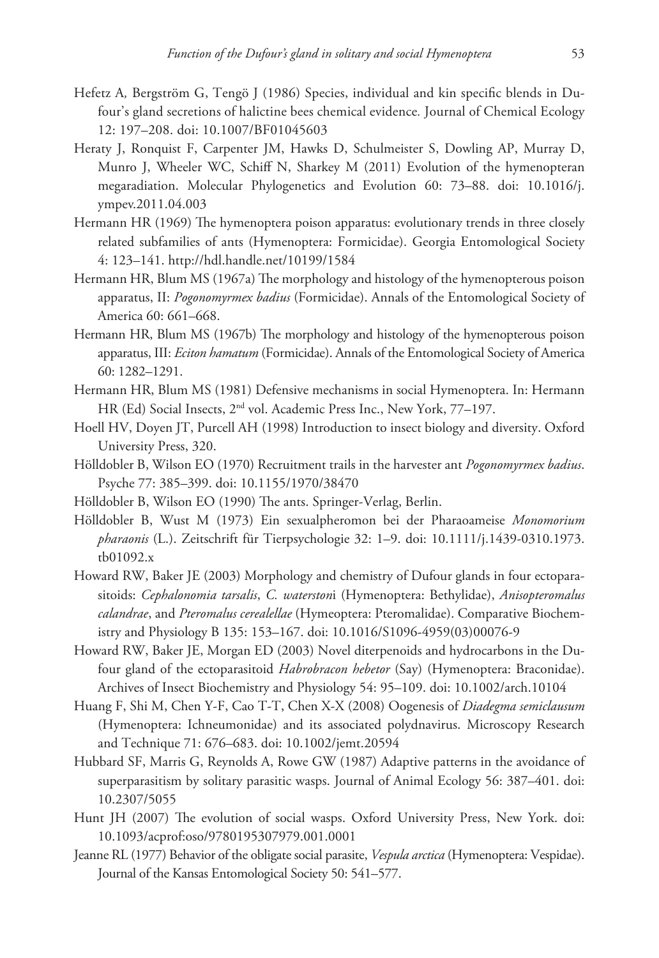- Hefetz A*,* Bergström G, Tengö J (1986) Species, individual and kin specific blends in Dufour's gland secretions of halictine bees chemical evidence*.* Journal of Chemical Ecology 12: 197–208. [doi: 10.1007/BF01045603](http://dx.doi.org/10.1007/BF01045603)
- Heraty J, Ronquist F, Carpenter JM, Hawks D, Schulmeister S, Dowling AP, Murray D, Munro J, Wheeler WC, Schiff N, Sharkey M (2011) Evolution of the hymenopteran megaradiation. Molecular Phylogenetics and Evolution 60: 73–88. [doi: 10.1016/j.](http://dx.doi.org/10.1016/j.ympev.2011.04.003) [ympev.2011.04.003](http://dx.doi.org/10.1016/j.ympev.2011.04.003)
- Hermann HR (1969) The hymenoptera poison apparatus: evolutionary trends in three closely related subfamilies of ants (Hymenoptera: Formicidae). Georgia Entomological Society 4: 123–141.<http://hdl.handle.net/10199/1584>
- Hermann HR, Blum MS (1967a) The morphology and histology of the hymenopterous poison apparatus, II: *Pogonomyrmex badius* (Formicidae). Annals of the Entomological Society of America 60: 661–668.
- Hermann HR, Blum MS (1967b) The morphology and histology of the hymenopterous poison apparatus, III: *Eciton hamatum* (Formicidae). Annals of the Entomological Society of America 60: 1282–1291.
- Hermann HR, Blum MS (1981) Defensive mechanisms in social Hymenoptera. In: Hermann HR (Ed) Social Insects, 2<sup>nd</sup> vol. Academic Press Inc., New York, 77-197.
- Hoell HV, Doyen JT, Purcell AH (1998) Introduction to insect biology and diversity. Oxford University Press, 320.
- Hölldobler B, Wilson EO (1970) Recruitment trails in the harvester ant *Pogonomyrmex badius*. Psyche 77: 385–399. doi: [10.1155/1970/38470](http://dx.doi.org/10.1155/1970/38470)
- Hölldobler B, Wilson EO (1990) The ants. Springer-Verlag, Berlin.
- Hölldobler B, Wust M (1973) Ein sexualpheromon bei der Pharaoameise *Monomorium pharaonis* (L.). Zeitschrift für Tierpsychologie 32: 1–9. [doi: 10.1111/j.1439-0310.1973.](http://dx.doi.org/10.1111/j.1439-0310.1973.tb01092.x) [tb01092.x](http://dx.doi.org/10.1111/j.1439-0310.1973.tb01092.x)
- Howard RW, Baker JE (2003) Morphology and chemistry of Dufour glands in four ectoparasitoids: *Cephalonomia tarsalis*, *C. waterston*i (Hymenoptera: Bethylidae), *Anisopteromalus calandrae*, and *Pteromalus cerealellae* (Hymeoptera: Pteromalidae). Comparative Biochemistry and Physiology B 135: 153–167. [doi: 10.1016/S1096-4959\(03\)00076-9](http://dx.doi.org/10.1016/S1096-4959(03)00076-9)
- Howard RW, Baker JE, Morgan ED (2003) Novel diterpenoids and hydrocarbons in the Dufour gland of the ectoparasitoid *Habrobracon hebetor* (Say) (Hymenoptera: Braconidae). Archives of Insect Biochemistry and Physiology 54: 95–109. [doi: 10.1002/arch.10104](http://dx.doi.org/10.1002/arch.10104)
- Huang F, Shi M, Chen Y-F, Cao T-T, Chen X-X (2008) Oogenesis of *Diadegma semiclausum* (Hymenoptera: Ichneumonidae) and its associated polydnavirus. Microscopy Research and Technique 71: 676–683. [doi: 10.1002/jemt.20594](http://dx.doi.org/10.1002/jemt.20594)
- Hubbard SF, Marris G, Reynolds A, Rowe GW (1987) Adaptive patterns in the avoidance of superparasitism by solitary parasitic wasps. Journal of Animal Ecology 56: 387–401. [doi:](http://dx.doi.org/10.2307/5055) [10.2307/5055](http://dx.doi.org/10.2307/5055)
- Hunt JH (2007) The evolution of social wasps. Oxford University Press, New York. [doi:](http://dx.doi.org/10.1093/acprof:oso/9780195307979.001.0001) [10.1093/acprof:oso/9780195307979.001.0001](http://dx.doi.org/10.1093/acprof:oso/9780195307979.001.0001)
- Jeanne RL (1977) Behavior of the obligate social parasite, *Vespula arctica* (Hymenoptera: Vespidae). Journal of the Kansas Entomological Society 50: 541–577.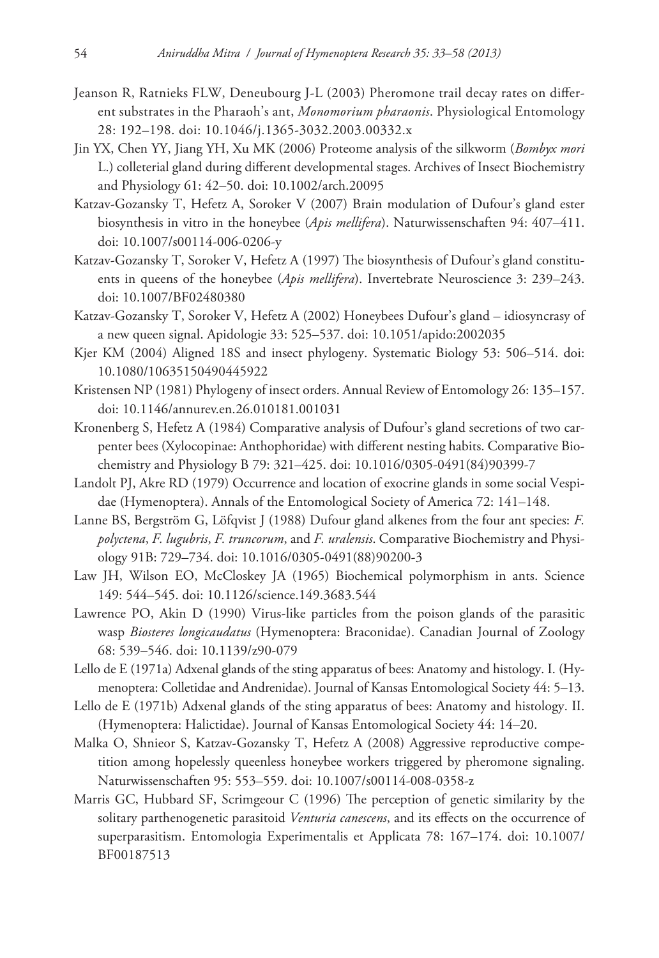- Jeanson R, Ratnieks FLW, Deneubourg J-L (2003) Pheromone trail decay rates on different substrates in the Pharaoh's ant, *Monomorium pharaonis*. Physiological Entomology 28: 192–198. [doi: 10.1046/j.1365-3032.2003.00332.x](http://dx.doi.org/10.1046/j.1365-3032.2003.00332.x)
- Jin YX, Chen YY, Jiang YH, Xu MK (2006) Proteome analysis of the silkworm (*Bombyx mori* L.) colleterial gland during different developmental stages. Archives of Insect Biochemistry and Physiology 61: 42–50. [doi: 10.1002/arch.20095](http://dx.doi.org/10.1002/arch.20095)
- Katzav-Gozansky T, Hefetz A, Soroker V (2007) Brain modulation of Dufour's gland ester biosynthesis in vitro in the honeybee (*Apis mellifera*). Naturwissenschaften 94: 407–411. [doi: 10.1007/s00114-006-0206-y](http://dx.doi.org/10.1007/s00114-006-0206-y)
- Katzav-Gozansky T, Soroker V, Hefetz A (1997) The biosynthesis of Dufour's gland constituents in queens of the honeybee (*Apis mellifera*). Invertebrate Neuroscience 3: 239–243. [doi: 10.1007/BF02480380](http://dx.doi.org/10.1007/BF02480380)
- Katzav-Gozansky T, Soroker V, Hefetz A (2002) Honeybees Dufour's gland idiosyncrasy of a new queen signal. Apidologie 33: 525–537. [doi: 10.1051/apido:2002035](http://dx.doi.org/10.1051/apido:2002035)
- Kjer KM (2004) Aligned 18S and insect phylogeny. Systematic Biology 53: 506–514. [doi:](http://dx.doi.org/10.1080/10635150490445922) [10.1080/10635150490445922](http://dx.doi.org/10.1080/10635150490445922)
- Kristensen NP (1981) Phylogeny of insect orders. Annual Review of Entomology 26: 135–157. [doi: 10.1146/annurev.en.26.010181.001031](http://dx.doi.org/10.1146/annurev.en.26.010181.001031)
- Kronenberg S, Hefetz A (1984) Comparative analysis of Dufour's gland secretions of two carpenter bees (Xylocopinae: Anthophoridae) with different nesting habits. Comparative Biochemistry and Physiology B 79: 321–425. [doi: 10.1016/0305-0491\(84\)90399-7](http://dx.doi.org/10.1016/0305-0491(84)90399-7)
- Landolt PJ, Akre RD (1979) Occurrence and location of exocrine glands in some social Vespidae (Hymenoptera). Annals of the Entomological Society of America 72: 141–148.
- Lanne BS, Bergström G, Löfqvist J (1988) Dufour gland alkenes from the four ant species: *F. polyctena*, *F. lugubris*, *F. truncorum*, and *F. uralensis*. Comparative Biochemistry and Physiology 91B: 729–734. [doi: 10.1016/0305-0491\(88\)90200-3](http://dx.doi.org/10.1016/0305-0491(88)90200-3)
- Law JH, Wilson EO, McCloskey JA (1965) Biochemical polymorphism in ants. Science 149: 544–545. [doi: 10.1126/science.149.3683.544](http://dx.doi.org/10.1126/science.149.3683.544)
- Lawrence PO, Akin D (1990) Virus-like particles from the poison glands of the parasitic wasp *Biosteres longicaudatus* (Hymenoptera: Braconidae). Canadian Journal of Zoology 68: 539–546. [doi: 10.1139/z90-079](http://dx.doi.org/10.1139/z90-079)
- Lello de E (1971a) Adxenal glands of the sting apparatus of bees: Anatomy and histology. I. (Hymenoptera: Colletidae and Andrenidae). Journal of Kansas Entomological Society 44: 5–13.
- Lello de E (1971b) Adxenal glands of the sting apparatus of bees: Anatomy and histology. II. (Hymenoptera: Halictidae). Journal of Kansas Entomological Society 44: 14–20.
- Malka O, Shnieor S, Katzav-Gozansky T, Hefetz A (2008) Aggressive reproductive competition among hopelessly queenless honeybee workers triggered by pheromone signaling. Naturwissenschaften 95: 553–559. [doi: 10.1007/s00114-008-0358-z](http://dx.doi.org/10.1007/s00114-008-0358-z)
- Marris GC, Hubbard SF, Scrimgeour C (1996) The perception of genetic similarity by the solitary parthenogenetic parasitoid *Venturia canescens*, and its effects on the occurrence of superparasitism. Entomologia Experimentalis et Applicata 78: 167–174. [doi: 10.1007/](http://dx.doi.org/10.1007/BF00187513) [BF00187513](http://dx.doi.org/10.1007/BF00187513)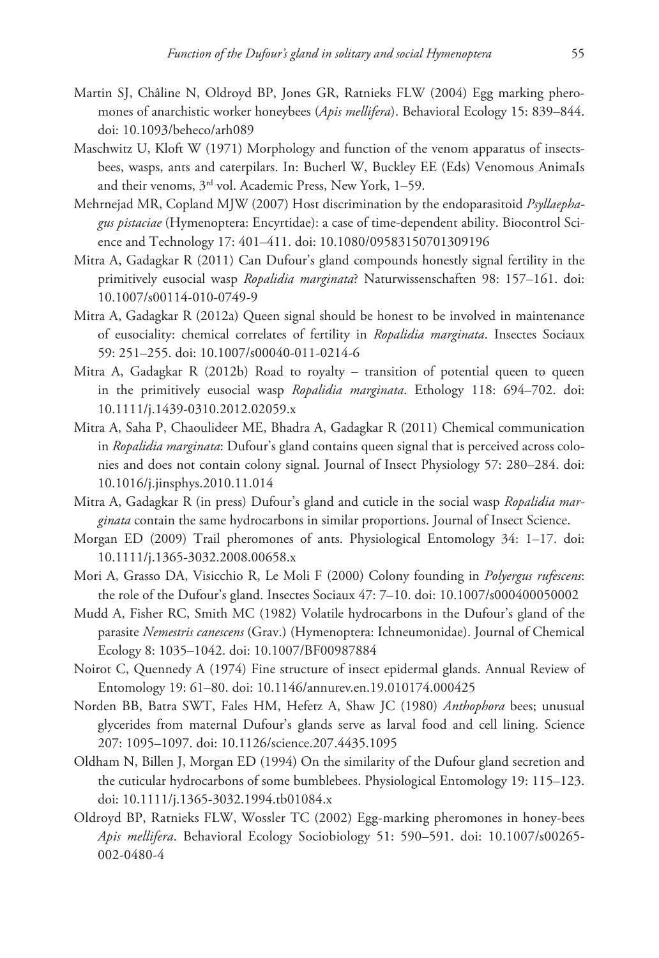- Martin SJ, Châline N, Oldroyd BP, Jones GR, Ratnieks FLW (2004) Egg marking pheromones of anarchistic worker honeybees (*Apis mellifera*). Behavioral Ecology 15: 839–844. [doi: 10.1093/beheco/arh089](http://dx.doi.org/10.1093/beheco/arh089)
- Maschwitz U, Kloft W (1971) Morphology and function of the venom apparatus of insectsbees, wasps, ants and caterpilars. In: Bucherl W, Buckley EE (Eds) Venomous AnimaIs and their venoms, 3rd vol. Academic Press, New York, 1–59.
- Mehrnejad MR, Copland MJW (2007) Host discrimination by the endoparasitoid *Psyllaephagus pistaciae* (Hymenoptera: Encyrtidae): a case of time-dependent ability. Biocontrol Science and Technology 17: 401–411. doi: [10.1080/09583150701309196](http://dx.doi.org/10.1080/09583150701309196)
- Mitra A, Gadagkar R (2011) Can Dufour's gland compounds honestly signal fertility in the primitively eusocial wasp *Ropalidia marginata*? Naturwissenschaften 98: 157–161. [doi:](http://dx.doi.org/10.1007/s00114-010-0749-9) [10.1007/s00114-010-0749-9](http://dx.doi.org/10.1007/s00114-010-0749-9)
- Mitra A, Gadagkar R (2012a) Queen signal should be honest to be involved in maintenance of eusociality: chemical correlates of fertility in *Ropalidia marginata*. Insectes Sociaux 59: 251–255. [doi: 10.1007/s00040-011-0214-6](http://dx.doi.org/10.1007/s00040-011-0214-6)
- Mitra A, Gadagkar R (2012b) Road to royalty transition of potential queen to queen in the primitively eusocial wasp *Ropalidia marginata*. Ethology 118: 694–702. [doi:](http://dx.doi.org/10.1111/j.1439-0310.2012.02059.x) [10.1111/j.1439-0310.2012.02059.x](http://dx.doi.org/10.1111/j.1439-0310.2012.02059.x)
- Mitra A, Saha P, Chaoulideer ME, Bhadra A, Gadagkar R (2011) Chemical communication in *Ropalidia marginata*: Dufour's gland contains queen signal that is perceived across colonies and does not contain colony signal. Journal of Insect Physiology 57: 280–284. [doi:](http://dx.doi.org/10.1016/j.jinsphys.2010.11.014) [10.1016/j.jinsphys.2010.11.014](http://dx.doi.org/10.1016/j.jinsphys.2010.11.014)
- Mitra A, Gadagkar R (in press) Dufour's gland and cuticle in the social wasp *Ropalidia marginata* contain the same hydrocarbons in similar proportions. Journal of Insect Science.
- Morgan ED (2009) Trail pheromones of ants. Physiological Entomology 34: 1–17. [doi:](http://dx.doi.org/10.1111/j.1365-3032.2008.00658.x) [10.1111/j.1365-3032.2008.00658.x](http://dx.doi.org/10.1111/j.1365-3032.2008.00658.x)
- Mori A, Grasso DA, Visicchio R, Le Moli F (2000) Colony founding in *Polyergus rufescens*: the role of the Dufour's gland. Insectes Sociaux 47: 7–10. [doi: 10.1007/s000400050002](http://dx.doi.org/10.1007/s000400050002)
- Mudd A, Fisher RC, Smith MC (1982) Volatile hydrocarbons in the Dufour's gland of the parasite *Nemestris canescens* (Grav.) (Hymenoptera: Ichneumonidae). Journal of Chemical Ecology 8: 1035–1042. [doi: 10.1007/BF00987884](http://dx.doi.org/10.1007/BF00987884)
- Noirot C, Quennedy A (1974) Fine structure of insect epidermal glands. Annual Review of Entomology 19: 61–80. [doi: 10.1146/annurev.en.19.010174.000425](http://dx.doi.org/10.1146/annurev.en.19.010174.000425)
- Norden BB, Batra SWT, Fales HM, Hefetz A, Shaw JC (1980) *Anthophora* bees; unusual glycerides from maternal Dufour's glands serve as larval food and cell lining. Science 207: 1095–1097. [doi: 10.1126/science.207.4435.1095](http://dx.doi.org/10.1126/science.207.4435.1095)
- Oldham N, Billen J, Morgan ED (1994) On the similarity of the Dufour gland secretion and the cuticular hydrocarbons of some bumblebees. Physiological Entomology 19: 115–123. [doi: 10.1111/j.1365-3032.1994.tb01084.x](http://dx.doi.org/10.1111/j.1365-3032.1994.tb01084.x)
- Oldroyd BP, Ratnieks FLW, Wossler TC (2002) Egg-marking pheromones in honey-bees *Apis mellifera*. Behavioral Ecology Sociobiology 51: 590–591. [doi: 10.1007/s00265-](http://dx.doi.org/10.1007/s00265-002-0480-4) [002-0480-4](http://dx.doi.org/10.1007/s00265-002-0480-4)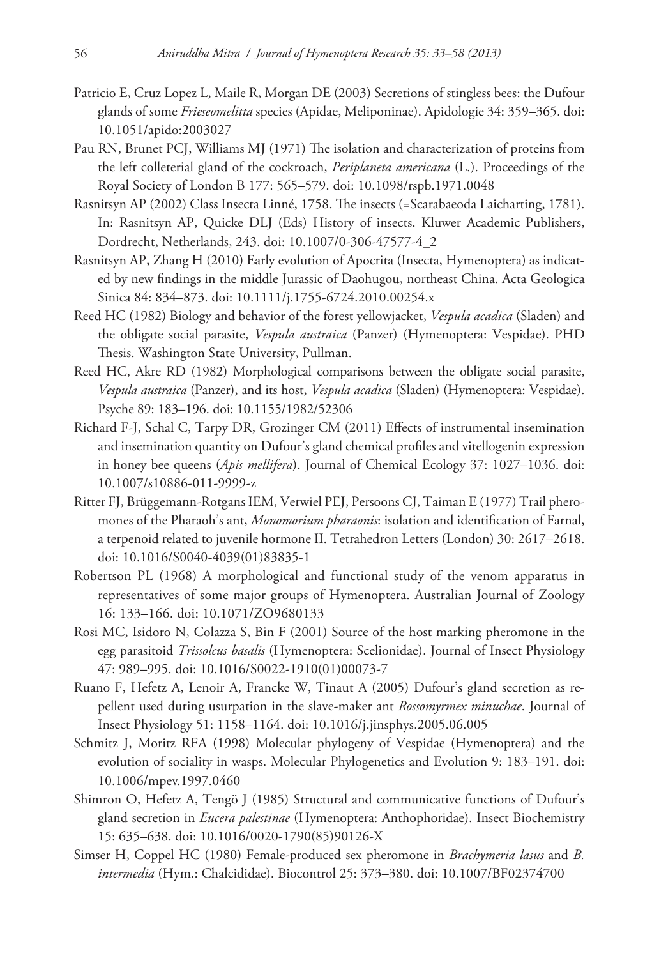- Patricio E, Cruz Lopez L, Maile R, Morgan DE (2003) Secretions of stingless bees: the Dufour glands of some *Frieseomelitta* species (Apidae, Meliponinae). Apidologie 34: 359–365. [doi:](http://dx.doi.org/10.1051/apido:2003027) [10.1051/apido:2003027](http://dx.doi.org/10.1051/apido:2003027)
- Pau RN, Brunet PCJ, Williams MJ (1971) The isolation and characterization of proteins from the left colleterial gland of the cockroach, *Periplaneta americana* (L.). Proceedings of the Royal Society of London B 177: 565–579. [doi: 10.1098/rspb.1971.0048](http://dx.doi.org/10.1098/rspb.1971.0048)
- Rasnitsyn AP (2002) Class Insecta Linné, 1758. The insects (=Scarabaeoda Laicharting, 1781). In: Rasnitsyn AP, Quicke DLJ (Eds) History of insects. Kluwer Academic Publishers, Dordrecht, Netherlands, 243. [doi: 10.1007/0-306-47577-4\\_2](http://dx.doi.org/10.1007/0-306-47577-4_2)
- Rasnitsyn AP, Zhang H (2010) Early evolution of Apocrita (Insecta, Hymenoptera) as indicated by new findings in the middle Jurassic of Daohugou, northeast China. Acta Geologica Sinica 84: 834–873. [doi: 10.1111/j.1755-6724.2010.00254.x](http://dx.doi.org/10.1111/j.1755-6724.2010.00254.x)
- Reed HC (1982) Biology and behavior of the forest yellowjacket, *Vespula acadica* (Sladen) and the obligate social parasite, *Vespula austraica* (Panzer) (Hymenoptera: Vespidae). PHD Thesis. Washington State University, Pullman.
- Reed HC, Akre RD (1982) Morphological comparisons between the obligate social parasite, *Vespula austraica* (Panzer), and its host, *Vespula acadica* (Sladen) (Hymenoptera: Vespidae). Psyche 89: 183–196. [doi: 10.1155/1982/52306](http://dx.doi.org/10.1155/1982/52306)
- Richard F-J, Schal C, Tarpy DR, Grozinger CM (2011) Effects of instrumental insemination and insemination quantity on Dufour's gland chemical profiles and vitellogenin expression in honey bee queens (*Apis mellifera*). Journal of Chemical Ecology 37: 1027–1036. [doi:](http://dx.doi.org/10.1007/s10886-011-9999-z) [10.1007/s10886-011-9999-z](http://dx.doi.org/10.1007/s10886-011-9999-z)
- Ritter FJ, Brüggemann-Rotgans IEM, Verwiel PEJ, Persoons CJ, Taiman E (1977) Trail pheromones of the Pharaoh's ant, *Monomorium pharaonis*: isolation and identification of Farnal, a terpenoid related to juvenile hormone II. Tetrahedron Letters (London) 30: 2617–2618. [doi: 10.1016/S0040-4039\(01\)83835-1](http://dx.doi.org/10.1016/S0040-4039(01)83835-1)
- Robertson PL (1968) A morphological and functional study of the venom apparatus in representatives of some major groups of Hymenoptera. Australian Journal of Zoology 16: 133–166. [doi: 10.1071/ZO9680133](http://dx.doi.org/10.1071/ZO9680133)
- Rosi MC, Isidoro N, Colazza S, Bin F (2001) Source of the host marking pheromone in the egg parasitoid *Trissolcus basalis* (Hymenoptera: Scelionidae). Journal of Insect Physiology 47: 989–995. [doi: 10.1016/S0022-1910\(01\)00073-7](http://dx.doi.org/10.1016/S0022-1910(01)00073-7)
- Ruano F, Hefetz A, Lenoir A, Francke W, Tinaut A (2005) Dufour's gland secretion as repellent used during usurpation in the slave-maker ant *Rossomyrmex minuchae*. Journal of Insect Physiology 51: 1158–1164. [doi: 10.1016/j.jinsphys.2005.06.005](http://dx.doi.org/10.1016/j.jinsphys.2005.06.005)
- Schmitz J, Moritz RFA (1998) Molecular phylogeny of Vespidae (Hymenoptera) and the evolution of sociality in wasps. Molecular Phylogenetics and Evolution 9: 183–191. [doi:](http://dx.doi.org/10.1006/mpev.1997.0460) [10.1006/mpev.1997.0460](http://dx.doi.org/10.1006/mpev.1997.0460)
- Shimron O, Hefetz A, Tengö J (1985) Structural and communicative functions of Dufour's gland secretion in *Eucera palestinae* (Hymenoptera: Anthophoridae). Insect Biochemistry 15: 635–638. [doi: 10.1016/0020-1790\(85\)90126-X](http://dx.doi.org/10.1016/0020-1790(85)90126-X)
- Simser H, Coppel HC (1980) Female-produced sex pheromone in *Brachymeria lasus* and *B. intermedia* (Hym.: Chalcididae). Biocontrol 25: 373–380. [doi: 10.1007/BF02374700](http://dx.doi.org/10.1007/BF02374700)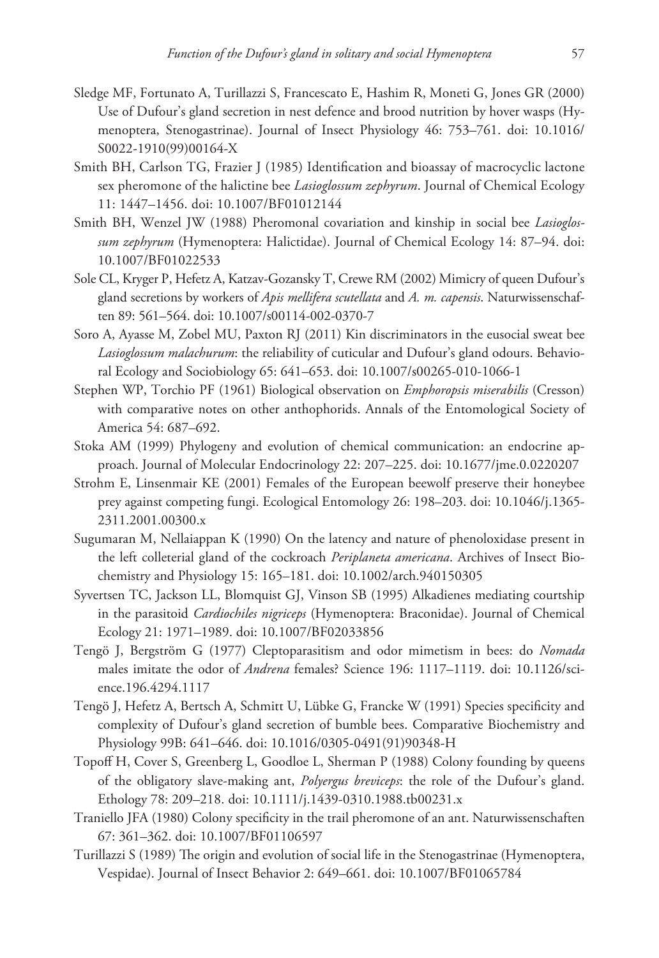- Sledge MF, Fortunato A, Turillazzi S, Francescato E, Hashim R, Moneti G, Jones GR (2000) Use of Dufour's gland secretion in nest defence and brood nutrition by hover wasps (Hymenoptera, Stenogastrinae). Journal of Insect Physiology 46: 753–761. [doi: 10.1016/](http://dx.doi.org/10.1016/S0022-1910(99)00164-X) [S0022-1910\(99\)00164-X](http://dx.doi.org/10.1016/S0022-1910(99)00164-X)
- Smith BH, Carlson TG, Frazier J (1985) Identification and bioassay of macrocyclic lactone sex pheromone of the halictine bee *Lasioglossum zephyrum*. Journal of Chemical Ecology 11: 1447–1456. [doi: 10.1007/BF01012144](http://dx.doi.org/10.1007/BF01012144)
- Smith BH, Wenzel JW (1988) Pheromonal covariation and kinship in social bee *Lasioglossum zephyrum* (Hymenoptera: Halictidae). Journal of Chemical Ecology 14: 87–94. [doi:](http://dx.doi.org/10.1007/BF01022533) [10.1007/BF01022533](http://dx.doi.org/10.1007/BF01022533)
- Sole CL, Kryger P, Hefetz A, Katzav-Gozansky T, Crewe RM (2002) Mimicry of queen Dufour's gland secretions by workers of *Apis mellifera scutellata* and *A. m. capensis*. Naturwissenschaften 89: 561–564. [doi: 10.1007/s00114-002-0370-7](http://dx.doi.org/10.1007/s00114-002-0370-7)
- Soro A, Ayasse M, Zobel MU, Paxton RJ (2011) Kin discriminators in the eusocial sweat bee *Lasioglossum malachurum*: the reliability of cuticular and Dufour's gland odours. Behavioral Ecology and Sociobiology 65: 641–653. [doi: 10.1007/s00265-010-1066-1](http://dx.doi.org/10.1007/s00265-010-1066-1)
- Stephen WP, Torchio PF (1961) Biological observation on *Emphoropsis miserabilis* (Cresson) with comparative notes on other anthophorids. Annals of the Entomological Society of America 54: 687–692.
- Stoka AM (1999) Phylogeny and evolution of chemical communication: an endocrine approach. Journal of Molecular Endocrinology 22: 207–225. [doi: 10.1677/jme.0.0220207](http://dx.doi.org/10.1677/jme.0.0220207)
- Strohm E, Linsenmair KE (2001) Females of the European beewolf preserve their honeybee prey against competing fungi. Ecological Entomology 26: 198–203. [doi: 10.1046/j.1365-](http://dx.doi.org/10.1046/j.1365-2311.2001.00300.x) [2311.2001.00300.x](http://dx.doi.org/10.1046/j.1365-2311.2001.00300.x)
- Sugumaran M, Nellaiappan K (1990) On the latency and nature of phenoloxidase present in the left colleterial gland of the cockroach *Periplaneta americana*. Archives of Insect Biochemistry and Physiology 15: 165–181. [doi: 10.1002/arch.940150305](http://dx.doi.org/10.1002/arch.940150305)
- Syvertsen TC, Jackson LL, Blomquist GJ, Vinson SB (1995) Alkadienes mediating courtship in the parasitoid *Cardiochiles nigriceps* (Hymenoptera: Braconidae). Journal of Chemical Ecology 21: 1971–1989. [doi: 10.1007/BF02033856](http://dx.doi.org/10.1007/BF02033856)
- Tengö J, Bergström G (1977) Cleptoparasitism and odor mimetism in bees: do *Nomada* males imitate the odor of *Andrena* females? Science 196: 1117–1119. [doi: 10.1126/sci](http://dx.doi.org/10.1126/science.196.4294.1117)[ence.196.4294.1117](http://dx.doi.org/10.1126/science.196.4294.1117)
- Tengö J, Hefetz A, Bertsch A, Schmitt U, Lübke G, Francke W (1991) Species specificity and complexity of Dufour's gland secretion of bumble bees. Comparative Biochemistry and Physiology 99B: 641–646. [doi: 10.1016/0305-0491\(91\)90348-H](http://dx.doi.org/10.1016/0305-0491(91)90348-H)
- Topoff H, Cover S, Greenberg L, Goodloe L, Sherman P (1988) Colony founding by queens of the obligatory slave-making ant, *Polyergus breviceps*: the role of the Dufour's gland. Ethology 78: 209–218. [doi: 10.1111/j.1439-0310.1988.tb00231.x](http://dx.doi.org/10.1111/j.1439﻿-0﻿310.1988.tb00231.x)
- Traniello JFA (1980) Colony specificity in the trail pheromone of an ant. Naturwissenschaften 67: 361–362. [doi: 10.1007/BF01106597](http://dx.doi.org/10.1007/BF01106597)
- Turillazzi S (1989) The origin and evolution of social life in the Stenogastrinae (Hymenoptera, Vespidae). Journal of Insect Behavior 2: 649–661. [doi: 10.1007/BF01065784](http://dx.doi.org/10.1007/BF01065784)